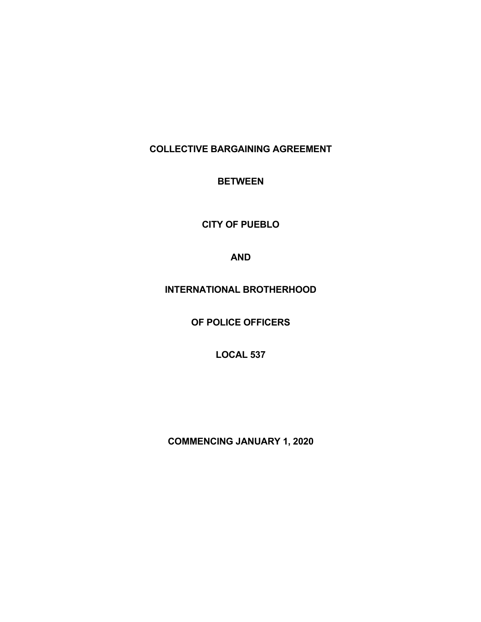**COLLECTIVE BARGAINING AGREEMENT**

**BETWEEN**

**CITY OF PUEBLO**

**AND**

**INTERNATIONAL BROTHERHOOD**

**OF POLICE OFFICERS**

**LOCAL 537**

**COMMENCING JANUARY 1, 2020**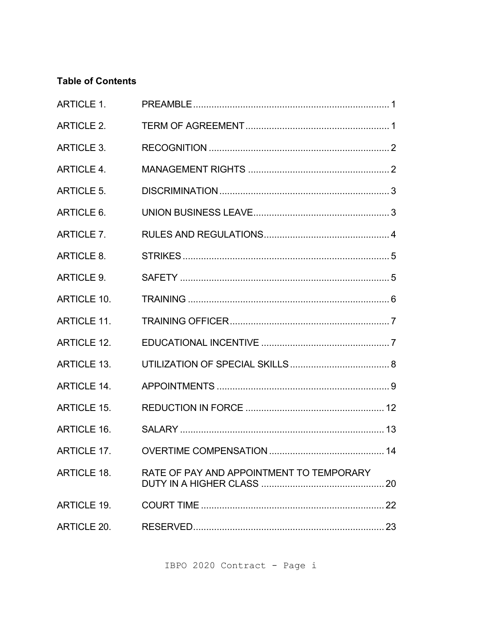# **Table of Contents**

| <b>ARTICLE 1.</b>  |                                          |  |
|--------------------|------------------------------------------|--|
| <b>ARTICLE 2.</b>  |                                          |  |
| <b>ARTICLE 3.</b>  |                                          |  |
| <b>ARTICLE 4.</b>  |                                          |  |
| <b>ARTICLE 5.</b>  |                                          |  |
| ARTICLE 6.         |                                          |  |
| ARTICLE 7.         |                                          |  |
| ARTICLE 8.         |                                          |  |
| ARTICLE 9.         |                                          |  |
| <b>ARTICLE 10.</b> |                                          |  |
| <b>ARTICLE 11.</b> |                                          |  |
| <b>ARTICLE 12.</b> |                                          |  |
| <b>ARTICLE 13.</b> |                                          |  |
| <b>ARTICLE 14.</b> |                                          |  |
| <b>ARTICLE 15.</b> |                                          |  |
| <b>ARTICLE 16.</b> |                                          |  |
|                    |                                          |  |
| ARTICLE 18.        | RATE OF PAY AND APPOINTMENT TO TEMPORARY |  |
| <b>ARTICLE 19.</b> |                                          |  |
| ARTICLE 20.        |                                          |  |

IBPO 2020 Contract - Page i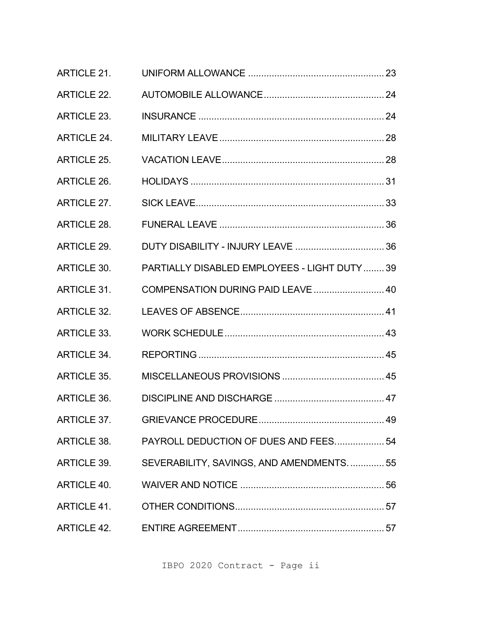| <b>ARTICLE 21.</b> |                                                      |  |
|--------------------|------------------------------------------------------|--|
| <b>ARTICLE 22.</b> |                                                      |  |
| <b>ARTICLE 23.</b> |                                                      |  |
| <b>ARTICLE 24.</b> |                                                      |  |
| <b>ARTICLE 25.</b> |                                                      |  |
| <b>ARTICLE 26.</b> |                                                      |  |
| <b>ARTICLE 27.</b> |                                                      |  |
| <b>ARTICLE 28.</b> |                                                      |  |
| <b>ARTICLE 29.</b> |                                                      |  |
| ARTICLE 30.        | PARTIALLY DISABLED EMPLOYEES - LIGHT DUTY  39        |  |
| <b>ARTICLE 31.</b> | COMPENSATION DURING PAID LEAVE  40                   |  |
| <b>ARTICLE 32.</b> |                                                      |  |
| <b>ARTICLE 33.</b> |                                                      |  |
| <b>ARTICLE 34.</b> |                                                      |  |
| <b>ARTICLE 35.</b> |                                                      |  |
| ARTICLE 36.        |                                                      |  |
|                    |                                                      |  |
|                    | ARTICLE 38. PAYROLL DEDUCTION OF DUES AND FEES 54    |  |
|                    | ARTICLE 39. SEVERABILITY, SAVINGS, AND AMENDMENTS 55 |  |
|                    |                                                      |  |
|                    |                                                      |  |
|                    |                                                      |  |

IBPO 2020 Contract - Page ii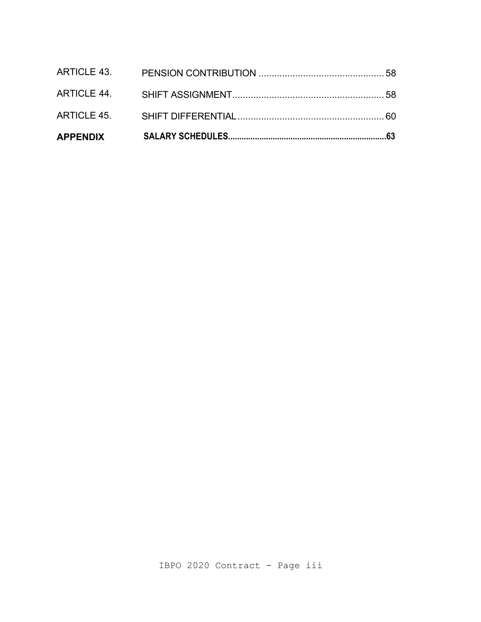| <b>APPENDIX</b> |  |
|-----------------|--|
|                 |  |
|                 |  |
|                 |  |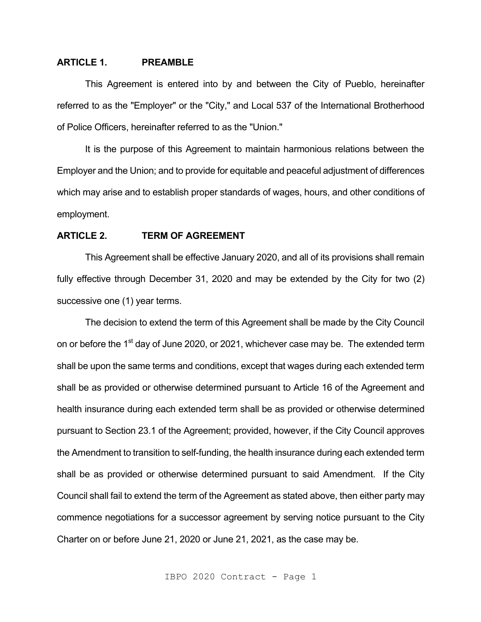# **ARTICLE 1. PREAMBLE**

This Agreement is entered into by and between the City of Pueblo, hereinafter referred to as the "Employer" or the "City," and Local 537 of the International Brotherhood of Police Officers, hereinafter referred to as the "Union."

It is the purpose of this Agreement to maintain harmonious relations between the Employer and the Union; and to provide for equitable and peaceful adjustment of differences which may arise and to establish proper standards of wages, hours, and other conditions of employment.

#### **ARTICLE 2. TERM OF AGREEMENT**

This Agreement shall be effective January 2020, and all of its provisions shall remain fully effective through December 31, 2020 and may be extended by the City for two (2) successive one (1) year terms.

The decision to extend the term of this Agreement shall be made by the City Council on or before the 1<sup>st</sup> day of June 2020, or 2021, whichever case may be. The extended term shall be upon the same terms and conditions, except that wages during each extended term shall be as provided or otherwise determined pursuant to Article 16 of the Agreement and health insurance during each extended term shall be as provided or otherwise determined pursuant to Section 23.1 of the Agreement; provided, however, if the City Council approves the Amendment to transition to self-funding, the health insurance during each extended term shall be as provided or otherwise determined pursuant to said Amendment. If the City Council shall fail to extend the term of the Agreement as stated above, then either party may commence negotiations for a successor agreement by serving notice pursuant to the City Charter on or before June 21, 2020 or June 21, 2021, as the case may be.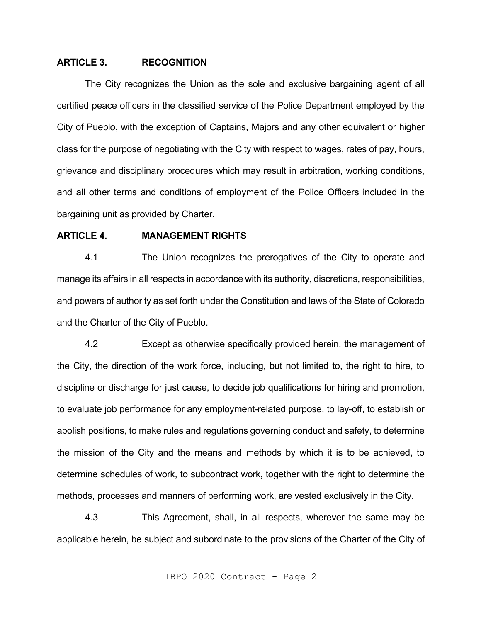# **ARTICLE 3. RECOGNITION**

The City recognizes the Union as the sole and exclusive bargaining agent of all certified peace officers in the classified service of the Police Department employed by the City of Pueblo, with the exception of Captains, Majors and any other equivalent or higher class for the purpose of negotiating with the City with respect to wages, rates of pay, hours, grievance and disciplinary procedures which may result in arbitration, working conditions, and all other terms and conditions of employment of the Police Officers included in the bargaining unit as provided by Charter.

# **ARTICLE 4. MANAGEMENT RIGHTS**

4.1 The Union recognizes the prerogatives of the City to operate and manage its affairs in all respects in accordance with its authority, discretions, responsibilities, and powers of authority as set forth under the Constitution and laws of the State of Colorado and the Charter of the City of Pueblo.

4.2 Except as otherwise specifically provided herein, the management of the City, the direction of the work force, including, but not limited to, the right to hire, to discipline or discharge for just cause, to decide job qualifications for hiring and promotion, to evaluate job performance for any employment-related purpose, to lay-off, to establish or abolish positions, to make rules and regulations governing conduct and safety, to determine the mission of the City and the means and methods by which it is to be achieved, to determine schedules of work, to subcontract work, together with the right to determine the methods, processes and manners of performing work, are vested exclusively in the City.

4.3 This Agreement, shall, in all respects, wherever the same may be applicable herein, be subject and subordinate to the provisions of the Charter of the City of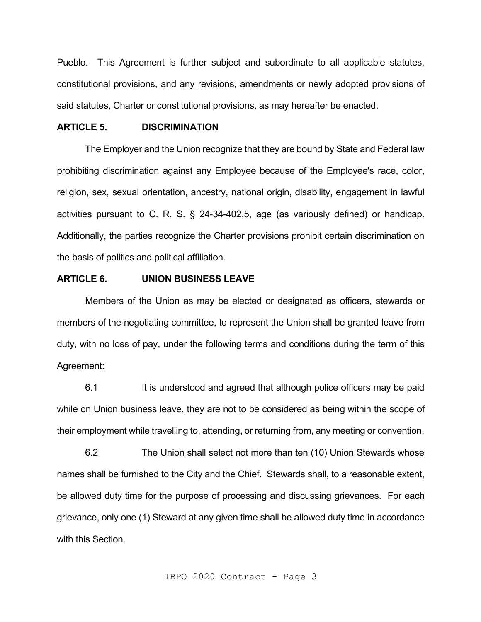Pueblo. This Agreement is further subject and subordinate to all applicable statutes, constitutional provisions, and any revisions, amendments or newly adopted provisions of said statutes, Charter or constitutional provisions, as may hereafter be enacted.

# **ARTICLE 5. DISCRIMINATION**

The Employer and the Union recognize that they are bound by State and Federal law prohibiting discrimination against any Employee because of the Employee's race, color, religion, sex, sexual orientation, ancestry, national origin, disability, engagement in lawful activities pursuant to C. R. S. § 24-34-402.5, age (as variously defined) or handicap. Additionally, the parties recognize the Charter provisions prohibit certain discrimination on the basis of politics and political affiliation.

#### **ARTICLE 6. UNION BUSINESS LEAVE**

Members of the Union as may be elected or designated as officers, stewards or members of the negotiating committee, to represent the Union shall be granted leave from duty, with no loss of pay, under the following terms and conditions during the term of this Agreement:

6.1 It is understood and agreed that although police officers may be paid while on Union business leave, they are not to be considered as being within the scope of their employment while travelling to, attending, or returning from, any meeting or convention.

6.2 The Union shall select not more than ten (10) Union Stewards whose names shall be furnished to the City and the Chief. Stewards shall, to a reasonable extent, be allowed duty time for the purpose of processing and discussing grievances. For each grievance, only one (1) Steward at any given time shall be allowed duty time in accordance with this Section.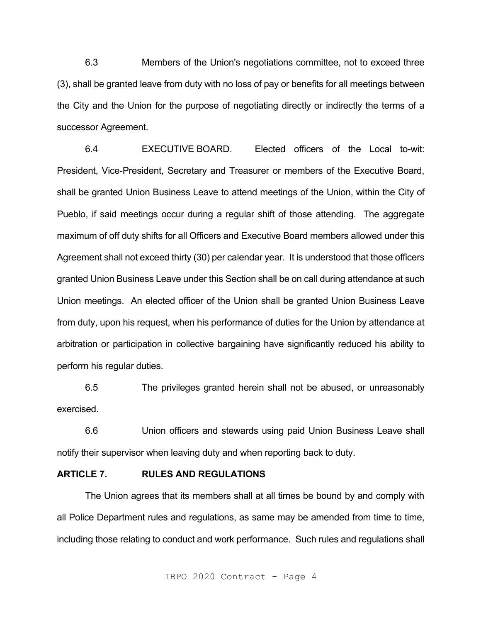6.3 Members of the Union's negotiations committee, not to exceed three (3), shall be granted leave from duty with no loss of pay or benefits for all meetings between the City and the Union for the purpose of negotiating directly or indirectly the terms of a successor Agreement.

6.4 EXECUTIVE BOARD. Elected officers of the Local to-wit: President, Vice-President, Secretary and Treasurer or members of the Executive Board, shall be granted Union Business Leave to attend meetings of the Union, within the City of Pueblo, if said meetings occur during a regular shift of those attending. The aggregate maximum of off duty shifts for all Officers and Executive Board members allowed under this Agreement shall not exceed thirty (30) per calendar year. It is understood that those officers granted Union Business Leave under this Section shall be on call during attendance at such Union meetings. An elected officer of the Union shall be granted Union Business Leave from duty, upon his request, when his performance of duties for the Union by attendance at arbitration or participation in collective bargaining have significantly reduced his ability to perform his regular duties.

6.5 The privileges granted herein shall not be abused, or unreasonably exercised.

6.6 Union officers and stewards using paid Union Business Leave shall notify their supervisor when leaving duty and when reporting back to duty.

### **ARTICLE 7. RULES AND REGULATIONS**

The Union agrees that its members shall at all times be bound by and comply with all Police Department rules and regulations, as same may be amended from time to time, including those relating to conduct and work performance. Such rules and regulations shall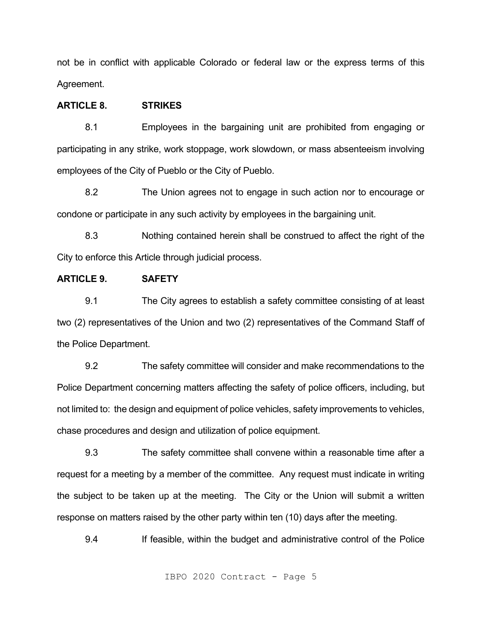not be in conflict with applicable Colorado or federal law or the express terms of this Agreement.

# **ARTICLE 8. STRIKES**

8.1 Employees in the bargaining unit are prohibited from engaging or participating in any strike, work stoppage, work slowdown, or mass absenteeism involving employees of the City of Pueblo or the City of Pueblo.

8.2 The Union agrees not to engage in such action nor to encourage or condone or participate in any such activity by employees in the bargaining unit.

8.3 Nothing contained herein shall be construed to affect the right of the City to enforce this Article through judicial process.

#### **ARTICLE 9. SAFETY**

9.1 The City agrees to establish a safety committee consisting of at least two (2) representatives of the Union and two (2) representatives of the Command Staff of the Police Department.

9.2 The safety committee will consider and make recommendations to the Police Department concerning matters affecting the safety of police officers, including, but not limited to: the design and equipment of police vehicles, safety improvements to vehicles, chase procedures and design and utilization of police equipment.

9.3 The safety committee shall convene within a reasonable time after a request for a meeting by a member of the committee. Any request must indicate in writing the subject to be taken up at the meeting. The City or the Union will submit a written response on matters raised by the other party within ten (10) days after the meeting.

9.4 If feasible, within the budget and administrative control of the Police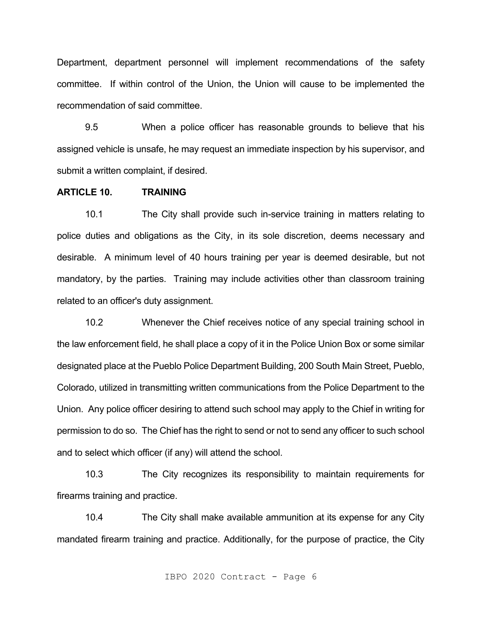Department, department personnel will implement recommendations of the safety committee. If within control of the Union, the Union will cause to be implemented the recommendation of said committee.

9.5 When a police officer has reasonable grounds to believe that his assigned vehicle is unsafe, he may request an immediate inspection by his supervisor, and submit a written complaint, if desired.

# **ARTICLE 10. TRAINING**

10.1 The City shall provide such in-service training in matters relating to police duties and obligations as the City, in its sole discretion, deems necessary and desirable. A minimum level of 40 hours training per year is deemed desirable, but not mandatory, by the parties. Training may include activities other than classroom training related to an officer's duty assignment.

10.2 Whenever the Chief receives notice of any special training school in the law enforcement field, he shall place a copy of it in the Police Union Box or some similar designated place at the Pueblo Police Department Building, 200 South Main Street, Pueblo, Colorado, utilized in transmitting written communications from the Police Department to the Union. Any police officer desiring to attend such school may apply to the Chief in writing for permission to do so. The Chief has the right to send or not to send any officer to such school and to select which officer (if any) will attend the school.

10.3 The City recognizes its responsibility to maintain requirements for firearms training and practice.

10.4 The City shall make available ammunition at its expense for any City mandated firearm training and practice. Additionally, for the purpose of practice, the City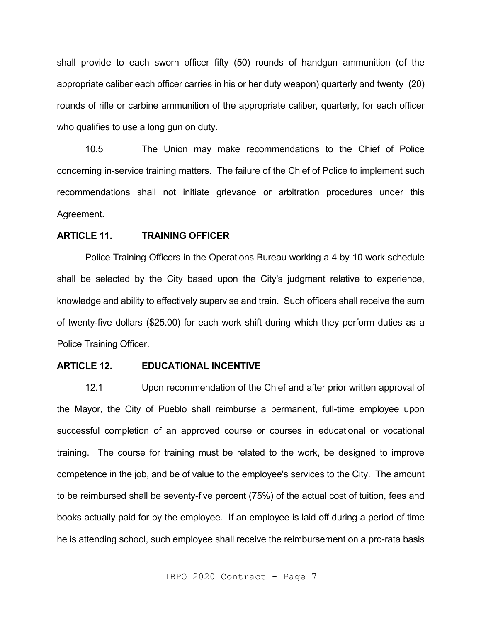shall provide to each sworn officer fifty (50) rounds of handgun ammunition (of the appropriate caliber each officer carries in his or her duty weapon) quarterly and twenty (20) rounds of rifle or carbine ammunition of the appropriate caliber, quarterly, for each officer who qualifies to use a long gun on duty.

10.5 The Union may make recommendations to the Chief of Police concerning in-service training matters. The failure of the Chief of Police to implement such recommendations shall not initiate grievance or arbitration procedures under this Agreement.

### **ARTICLE 11. TRAINING OFFICER**

Police Training Officers in the Operations Bureau working a 4 by 10 work schedule shall be selected by the City based upon the City's judgment relative to experience, knowledge and ability to effectively supervise and train. Such officers shall receive the sum of twenty-five dollars (\$25.00) for each work shift during which they perform duties as a Police Training Officer.

# **ARTICLE 12. EDUCATIONAL INCENTIVE**

12.1 Upon recommendation of the Chief and after prior written approval of the Mayor, the City of Pueblo shall reimburse a permanent, full-time employee upon successful completion of an approved course or courses in educational or vocational training. The course for training must be related to the work, be designed to improve competence in the job, and be of value to the employee's services to the City. The amount to be reimbursed shall be seventy-five percent (75%) of the actual cost of tuition, fees and books actually paid for by the employee. If an employee is laid off during a period of time he is attending school, such employee shall receive the reimbursement on a pro-rata basis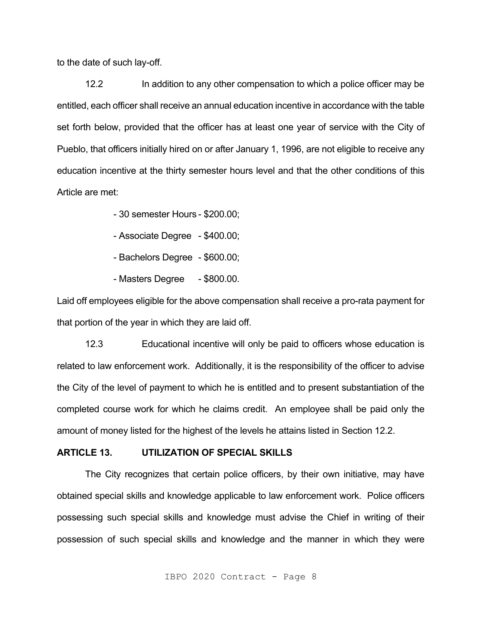to the date of such lay-off.

12.2 In addition to any other compensation to which a police officer may be entitled, each officer shall receive an annual education incentive in accordance with the table set forth below, provided that the officer has at least one year of service with the City of Pueblo, that officers initially hired on or after January 1, 1996, are not eligible to receive any education incentive at the thirty semester hours level and that the other conditions of this Article are met:

- 30 semester Hours - \$200.00;

- Associate Degree \$400.00;
- Bachelors Degree \$600.00;
- Masters Degree \$800.00.

Laid off employees eligible for the above compensation shall receive a pro-rata payment for that portion of the year in which they are laid off.

12.3 Educational incentive will only be paid to officers whose education is related to law enforcement work. Additionally, it is the responsibility of the officer to advise the City of the level of payment to which he is entitled and to present substantiation of the completed course work for which he claims credit. An employee shall be paid only the amount of money listed for the highest of the levels he attains listed in Section 12.2.

#### **ARTICLE 13. UTILIZATION OF SPECIAL SKILLS**

The City recognizes that certain police officers, by their own initiative, may have obtained special skills and knowledge applicable to law enforcement work. Police officers possessing such special skills and knowledge must advise the Chief in writing of their possession of such special skills and knowledge and the manner in which they were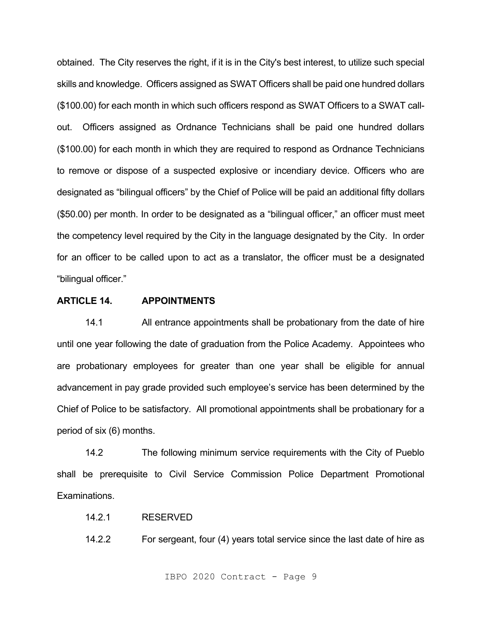obtained. The City reserves the right, if it is in the City's best interest, to utilize such special skills and knowledge. Officers assigned as SWAT Officers shall be paid one hundred dollars (\$100.00) for each month in which such officers respond as SWAT Officers to a SWAT callout. Officers assigned as Ordnance Technicians shall be paid one hundred dollars (\$100.00) for each month in which they are required to respond as Ordnance Technicians to remove or dispose of a suspected explosive or incendiary device. Officers who are designated as "bilingual officers" by the Chief of Police will be paid an additional fifty dollars (\$50.00) per month. In order to be designated as a "bilingual officer," an officer must meet the competency level required by the City in the language designated by the City. In order for an officer to be called upon to act as a translator, the officer must be a designated "bilingual officer."

# **ARTICLE 14. APPOINTMENTS**

14.1 All entrance appointments shall be probationary from the date of hire until one year following the date of graduation from the Police Academy. Appointees who are probationary employees for greater than one year shall be eligible for annual advancement in pay grade provided such employee's service has been determined by the Chief of Police to be satisfactory. All promotional appointments shall be probationary for a period of six (6) months.

14.2 The following minimum service requirements with the City of Pueblo shall be prerequisite to Civil Service Commission Police Department Promotional Examinations.

# 14.2.1 RESERVED

14.2.2 For sergeant, four (4) years total service since the last date of hire as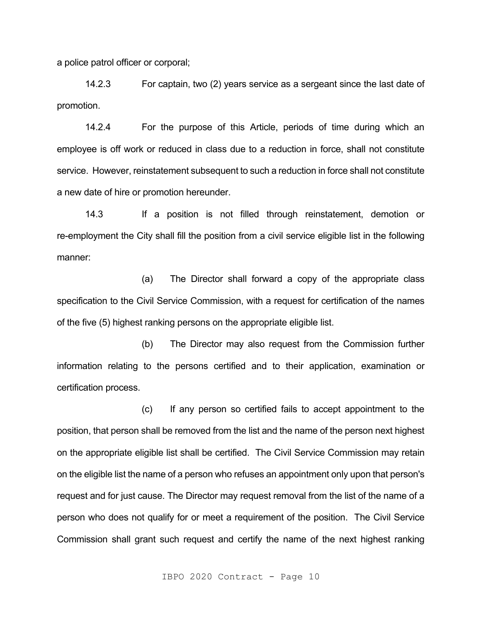a police patrol officer or corporal;

14.2.3 For captain, two (2) years service as a sergeant since the last date of promotion.

14.2.4 For the purpose of this Article, periods of time during which an employee is off work or reduced in class due to a reduction in force, shall not constitute service. However, reinstatement subsequent to such a reduction in force shall not constitute a new date of hire or promotion hereunder.

14.3 If a position is not filled through reinstatement, demotion or re-employment the City shall fill the position from a civil service eligible list in the following manner:

(a) The Director shall forward a copy of the appropriate class specification to the Civil Service Commission, with a request for certification of the names of the five (5) highest ranking persons on the appropriate eligible list.

(b) The Director may also request from the Commission further information relating to the persons certified and to their application, examination or certification process.

(c) If any person so certified fails to accept appointment to the position, that person shall be removed from the list and the name of the person next highest on the appropriate eligible list shall be certified. The Civil Service Commission may retain on the eligible list the name of a person who refuses an appointment only upon that person's request and for just cause. The Director may request removal from the list of the name of a person who does not qualify for or meet a requirement of the position. The Civil Service Commission shall grant such request and certify the name of the next highest ranking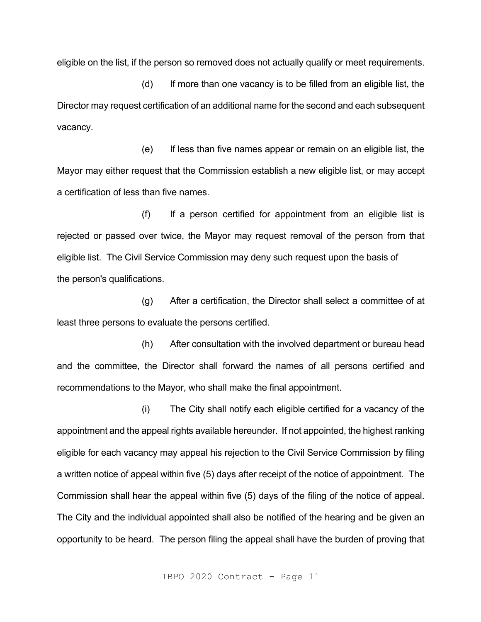eligible on the list, if the person so removed does not actually qualify or meet requirements.

(d) If more than one vacancy is to be filled from an eligible list, the Director may request certification of an additional name for the second and each subsequent vacancy.

(e) If less than five names appear or remain on an eligible list, the Mayor may either request that the Commission establish a new eligible list, or may accept a certification of less than five names.

(f) If a person certified for appointment from an eligible list is rejected or passed over twice, the Mayor may request removal of the person from that eligible list. The Civil Service Commission may deny such request upon the basis of the person's qualifications.

(g) After a certification, the Director shall select a committee of at least three persons to evaluate the persons certified.

(h) After consultation with the involved department or bureau head and the committee, the Director shall forward the names of all persons certified and recommendations to the Mayor, who shall make the final appointment.

(i) The City shall notify each eligible certified for a vacancy of the appointment and the appeal rights available hereunder. If not appointed, the highest ranking eligible for each vacancy may appeal his rejection to the Civil Service Commission by filing a written notice of appeal within five (5) days after receipt of the notice of appointment. The Commission shall hear the appeal within five (5) days of the filing of the notice of appeal. The City and the individual appointed shall also be notified of the hearing and be given an opportunity to be heard. The person filing the appeal shall have the burden of proving that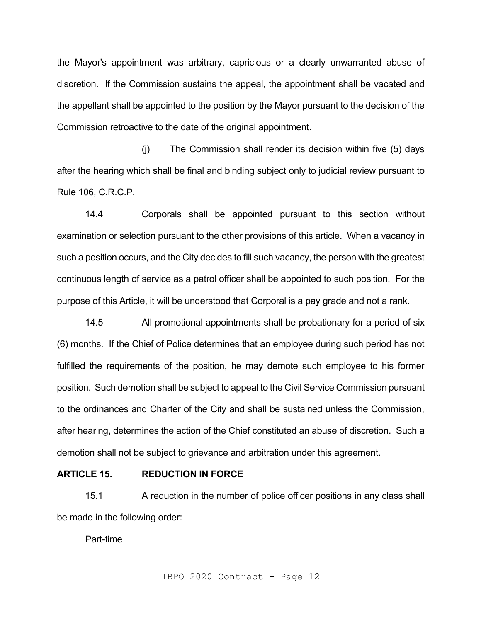the Mayor's appointment was arbitrary, capricious or a clearly unwarranted abuse of discretion. If the Commission sustains the appeal, the appointment shall be vacated and the appellant shall be appointed to the position by the Mayor pursuant to the decision of the Commission retroactive to the date of the original appointment.

(j) The Commission shall render its decision within five (5) days after the hearing which shall be final and binding subject only to judicial review pursuant to Rule 106, C.R.C.P.

14.4 Corporals shall be appointed pursuant to this section without examination or selection pursuant to the other provisions of this article. When a vacancy in such a position occurs, and the City decides to fill such vacancy, the person with the greatest continuous length of service as a patrol officer shall be appointed to such position. For the purpose of this Article, it will be understood that Corporal is a pay grade and not a rank.

14.5 All promotional appointments shall be probationary for a period of six (6) months. If the Chief of Police determines that an employee during such period has not fulfilled the requirements of the position, he may demote such employee to his former position. Such demotion shall be subject to appeal to the Civil Service Commission pursuant to the ordinances and Charter of the City and shall be sustained unless the Commission, after hearing, determines the action of the Chief constituted an abuse of discretion. Such a demotion shall not be subject to grievance and arbitration under this agreement.

# **ARTICLE 15. REDUCTION IN FORCE**

15.1 A reduction in the number of police officer positions in any class shall be made in the following order:

Part-time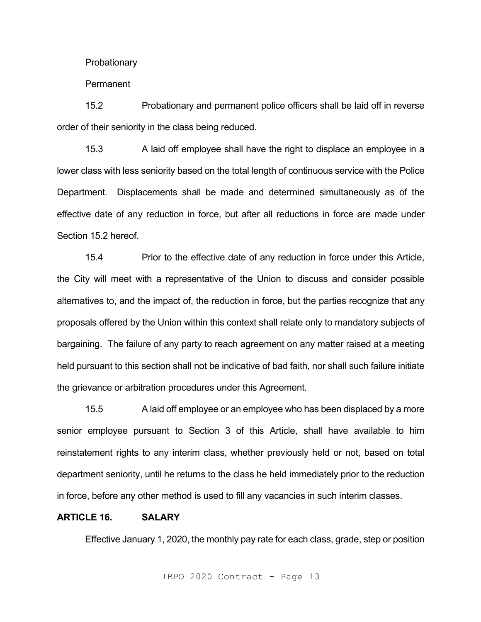**Probationary** 

Permanent

15.2 Probationary and permanent police officers shall be laid off in reverse order of their seniority in the class being reduced.

15.3 A laid off employee shall have the right to displace an employee in a lower class with less seniority based on the total length of continuous service with the Police Department. Displacements shall be made and determined simultaneously as of the effective date of any reduction in force, but after all reductions in force are made under Section 15.2 hereof.

15.4 Prior to the effective date of any reduction in force under this Article, the City will meet with a representative of the Union to discuss and consider possible alternatives to, and the impact of, the reduction in force, but the parties recognize that any proposals offered by the Union within this context shall relate only to mandatory subjects of bargaining. The failure of any party to reach agreement on any matter raised at a meeting held pursuant to this section shall not be indicative of bad faith, nor shall such failure initiate the grievance or arbitration procedures under this Agreement.

15.5 A laid off employee or an employee who has been displaced by a more senior employee pursuant to Section 3 of this Article, shall have available to him reinstatement rights to any interim class, whether previously held or not, based on total department seniority, until he returns to the class he held immediately prior to the reduction in force, before any other method is used to fill any vacancies in such interim classes.

# **ARTICLE 16. SALARY**

Effective January 1, 2020, the monthly pay rate for each class, grade, step or position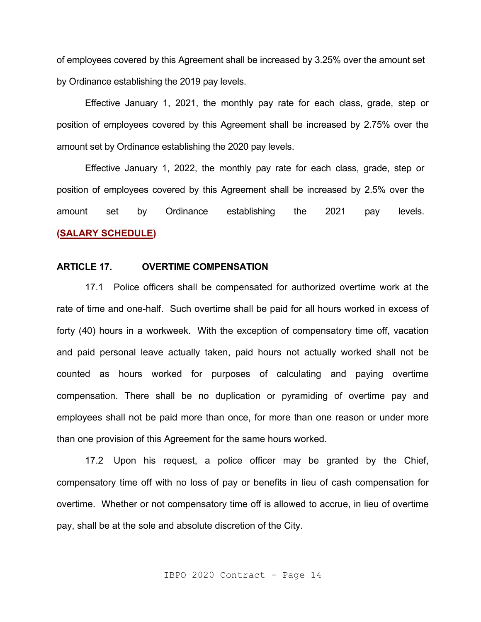of employees covered by this Agreement shall be increased by 3.25% over the amount set by Ordinance establishing the 2019 pay levels.

Effective January 1, 2021, the monthly pay rate for each class, grade, step or position of employees covered by this Agreement shall be increased by 2.75% over the amount set by Ordinance establishing the 2020 pay levels.

Effective January 1, 2022, the monthly pay rate for each class, grade, step or position of employees covered by this Agreement shall be increased by 2.5% over the amount set by Ordinance establishing the 2021 pay levels. **[\(SALARY SCHE](#page-66-0)DULE)**

# **ARTICLE 17. OVERTIME COMPENSATION**

17.1 Police officers shall be compensated for authorized overtime work at the rate of time and one-half. Such overtime shall be paid for all hours worked in excess of forty (40) hours in a workweek. With the exception of compensatory time off, vacation and paid personal leave actually taken, paid hours not actually worked shall not be counted as hours worked for purposes of calculating and paying overtime compensation. There shall be no duplication or pyramiding of overtime pay and employees shall not be paid more than once, for more than one reason or under more than one provision of this Agreement for the same hours worked.

17.2 Upon his request, a police officer may be granted by the Chief, compensatory time off with no loss of pay or benefits in lieu of cash compensation for overtime. Whether or not compensatory time off is allowed to accrue, in lieu of overtime pay, shall be at the sole and absolute discretion of the City.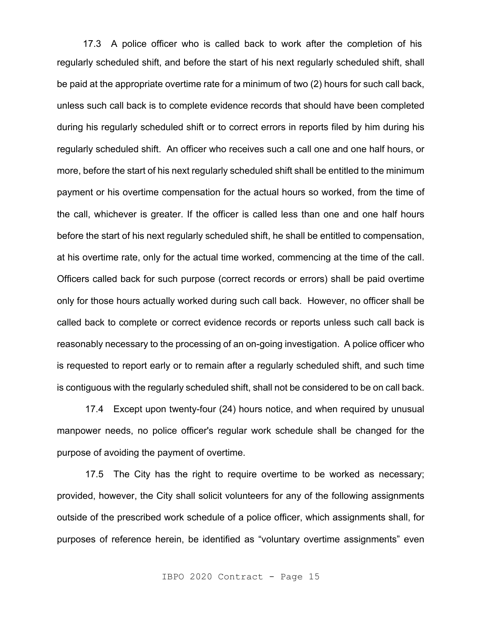regularly scheduled shift, and before the start of his next regularly scheduled shift, shall be paid at the appropriate overtime rate for a minimum of two (2) hours for such call back, unless such call back is to complete evidence records that should have been completed during his regularly scheduled shift or to correct errors in reports filed by him during his regularly scheduled shift. An officer who receives such a call one and one half hours, or more, before the start of his next regularly scheduled shift shall be entitled to the minimum payment or his overtime compensation for the actual hours so worked, from the time of the call, whichever is greater. If the officer is called less than one and one half hours before the start of his next regularly scheduled shift, he shall be entitled to compensation, at his overtime rate, only for the actual time worked, commencing at the time of the call. Officers called back for such purpose (correct records or errors) shall be paid overtime only for those hours actually worked during such call back. However, no officer shall be called back to complete or correct evidence records or reports unless such call back is reasonably necessary to the processing of an on-going investigation. A police officer who is requested to report early or to remain after a regularly scheduled shift, and such time is contiguous with the regularly scheduled shift, shall not be considered to be on call back. 17.3 A police officer who is called back to work after the completion of his

17.4 Except upon twenty-four (24) hours notice, and when required by unusual manpower needs, no police officer's regular work schedule shall be changed for the purpose of avoiding the payment of overtime.

17.5 The City has the right to require overtime to be worked as necessary; provided, however, the City shall solicit volunteers for any of the following assignments outside of the prescribed work schedule of a police officer, which assignments shall, for purposes of reference herein, be identified as "voluntary overtime assignments" even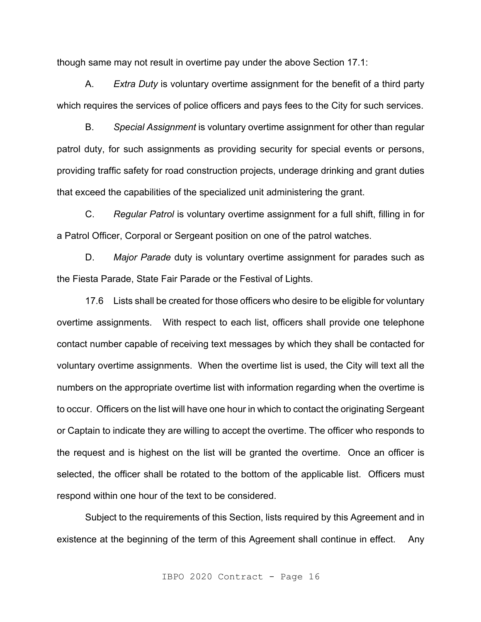though same may not result in overtime pay under the above Section 17.1:

A. *Extra Duty* is voluntary overtime assignment for the benefit of a third party which requires the services of police officers and pays fees to the City for such services.

B. *Special Assignment* is voluntary overtime assignment for other than regular patrol duty, for such assignments as providing security for special events or persons, providing traffic safety for road construction projects, underage drinking and grant duties that exceed the capabilities of the specialized unit administering the grant.

C. *Regular Patrol* is voluntary overtime assignment for a full shift, filling in for a Patrol Officer, Corporal or Sergeant position on one of the patrol watches.

D. *Major Parade* duty is voluntary overtime assignment for parades such as the Fiesta Parade, State Fair Parade or the Festival of Lights.

17.6 Lists shall be created for those officers who desire to be eligible for voluntary overtime assignments. With respect to each list, officers shall provide one telephone contact number capable of receiving text messages by which they shall be contacted for voluntary overtime assignments. When the overtime list is used, the City will text all the numbers on the appropriate overtime list with information regarding when the overtime is to occur. Officers on the list will have one hour in which to contact the originating Sergeant or Captain to indicate they are willing to accept the overtime. The officer who responds to the request and is highest on the list will be granted the overtime. Once an officer is selected, the officer shall be rotated to the bottom of the applicable list. Officers must respond within one hour of the text to be considered.

Subject to the requirements of this Section, lists required by this Agreement and in existence at the beginning of the term of this Agreement shall continue in effect. Any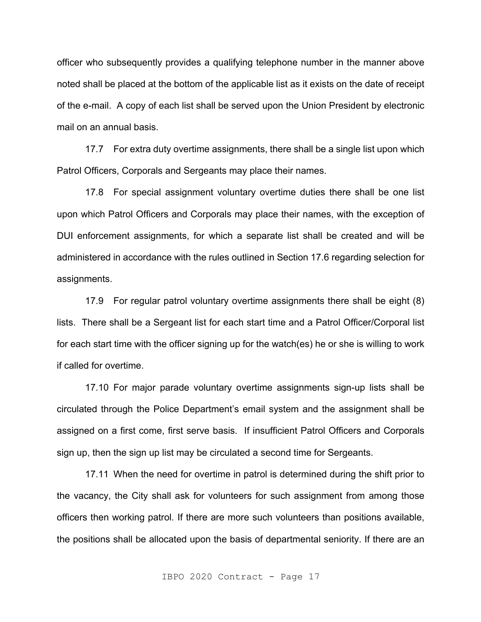officer who subsequently provides a qualifying telephone number in the manner above noted shall be placed at the bottom of the applicable list as it exists on the date of receipt of the e-mail. A copy of each list shall be served upon the Union President by electronic mail on an annual basis.

17.7 For extra duty overtime assignments, there shall be a single list upon which Patrol Officers, Corporals and Sergeants may place their names.

17.8 For special assignment voluntary overtime duties there shall be one list upon which Patrol Officers and Corporals may place their names, with the exception of DUI enforcement assignments, for which a separate list shall be created and will be administered in accordance with the rules outlined in Section 17.6 regarding selection for assignments.

17.9 For regular patrol voluntary overtime assignments there shall be eight (8) lists. There shall be a Sergeant list for each start time and a Patrol Officer/Corporal list for each start time with the officer signing up for the watch(es) he or she is willing to work if called for overtime.

17.10 For major parade voluntary overtime assignments sign-up lists shall be circulated through the Police Department's email system and the assignment shall be assigned on a first come, first serve basis. If insufficient Patrol Officers and Corporals sign up, then the sign up list may be circulated a second time for Sergeants.

17.11 When the need for overtime in patrol is determined during the shift prior to the vacancy, the City shall ask for volunteers for such assignment from among those officers then working patrol. If there are more such volunteers than positions available, the positions shall be allocated upon the basis of departmental seniority. If there are an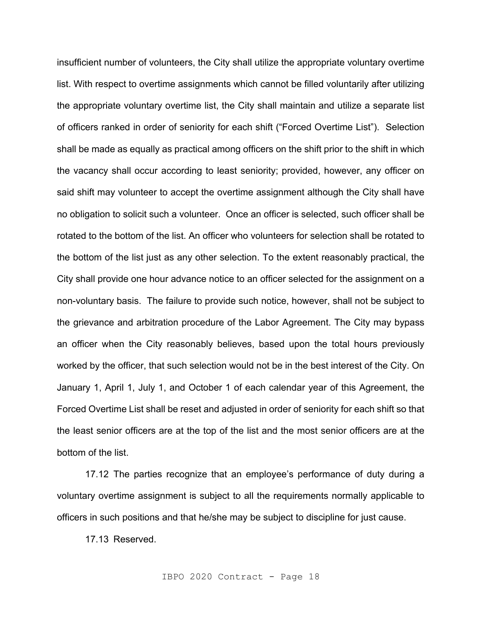insufficient number of volunteers, the City shall utilize the appropriate voluntary overtime list. With respect to overtime assignments which cannot be filled voluntarily after utilizing the appropriate voluntary overtime list, the City shall maintain and utilize a separate list of officers ranked in order of seniority for each shift ("Forced Overtime List"). Selection shall be made as equally as practical among officers on the shift prior to the shift in which the vacancy shall occur according to least seniority; provided, however, any officer on said shift may volunteer to accept the overtime assignment although the City shall have no obligation to solicit such a volunteer. Once an officer is selected, such officer shall be rotated to the bottom of the list. An officer who volunteers for selection shall be rotated to the bottom of the list just as any other selection. To the extent reasonably practical, the City shall provide one hour advance notice to an officer selected for the assignment on a non-voluntary basis. The failure to provide such notice, however, shall not be subject to the grievance and arbitration procedure of the Labor Agreement. The City may bypass an officer when the City reasonably believes, based upon the total hours previously worked by the officer, that such selection would not be in the best interest of the City. On January 1, April 1, July 1, and October 1 of each calendar year of this Agreement, the Forced Overtime List shall be reset and adjusted in order of seniority for each shift so that the least senior officers are at the top of the list and the most senior officers are at the bottom of the list.

17.12 The parties recognize that an employee's performance of duty during a voluntary overtime assignment is subject to all the requirements normally applicable to officers in such positions and that he/she may be subject to discipline for just cause.

17.13 Reserved.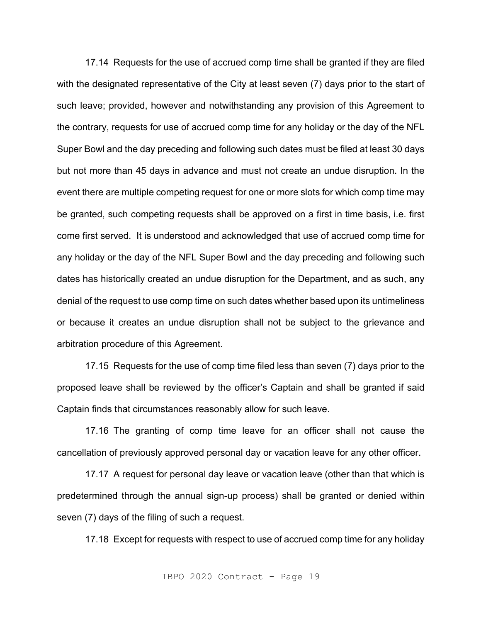17.14 Requests for the use of accrued comp time shall be granted if they are filed with the designated representative of the City at least seven (7) days prior to the start of such leave; provided, however and notwithstanding any provision of this Agreement to the contrary, requests for use of accrued comp time for any holiday or the day of the NFL Super Bowl and the day preceding and following such dates must be filed at least 30 days but not more than 45 days in advance and must not create an undue disruption. In the event there are multiple competing request for one or more slots for which comp time may be granted, such competing requests shall be approved on a first in time basis, i.e. first come first served. It is understood and acknowledged that use of accrued comp time for any holiday or the day of the NFL Super Bowl and the day preceding and following such dates has historically created an undue disruption for the Department, and as such, any denial of the request to use comp time on such dates whether based upon its untimeliness or because it creates an undue disruption shall not be subject to the grievance and arbitration procedure of this Agreement.

17.15 Requests for the use of comp time filed less than seven (7) days prior to the proposed leave shall be reviewed by the officer's Captain and shall be granted if said Captain finds that circumstances reasonably allow for such leave.

17.16 The granting of comp time leave for an officer shall not cause the cancellation of previously approved personal day or vacation leave for any other officer.

17.17 A request for personal day leave or vacation leave (other than that which is predetermined through the annual sign-up process) shall be granted or denied within seven (7) days of the filing of such a request.

17.18 Except for requests with respect to use of accrued comp time for any holiday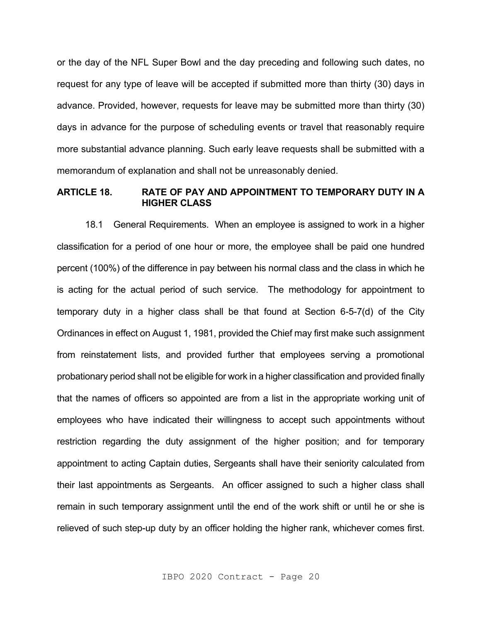or the day of the NFL Super Bowl and the day preceding and following such dates, no request for any type of leave will be accepted if submitted more than thirty (30) days in advance. Provided, however, requests for leave may be submitted more than thirty (30) days in advance for the purpose of scheduling events or travel that reasonably require more substantial advance planning. Such early leave requests shall be submitted with a memorandum of explanation and shall not be unreasonably denied.

# **ARTICLE 18. RATE OF PAY AND APPOINTMENT TO TEMPORARY DUTY IN A HIGHER CLASS**

18.1 General Requirements. When an employee is assigned to work in a higher classification for a period of one hour or more, the employee shall be paid one hundred percent (100%) of the difference in pay between his normal class and the class in which he is acting for the actual period of such service. The methodology for appointment to temporary duty in a higher class shall be that found at Section 6-5-7(d) of the City Ordinances in effect on August 1, 1981, provided the Chief may first make such assignment from reinstatement lists, and provided further that employees serving a promotional probationary period shall not be eligible for work in a higher classification and provided finally that the names of officers so appointed are from a list in the appropriate working unit of employees who have indicated their willingness to accept such appointments without restriction regarding the duty assignment of the higher position; and for temporary appointment to acting Captain duties, Sergeants shall have their seniority calculated from their last appointments as Sergeants. An officer assigned to such a higher class shall remain in such temporary assignment until the end of the work shift or until he or she is relieved of such step-up duty by an officer holding the higher rank, whichever comes first.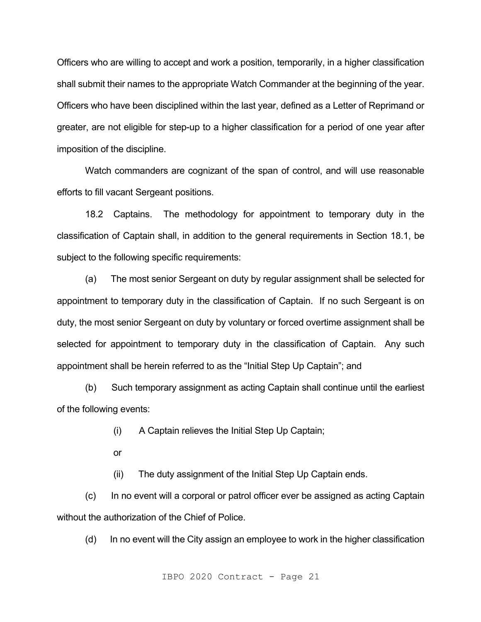Officers who are willing to accept and work a position, temporarily, in a higher classification shall submit their names to the appropriate Watch Commander at the beginning of the year. Officers who have been disciplined within the last year, defined as a Letter of Reprimand or greater, are not eligible for step-up to a higher classification for a period of one year after imposition of the discipline.

Watch commanders are cognizant of the span of control, and will use reasonable efforts to fill vacant Sergeant positions.

18.2 Captains. The methodology for appointment to temporary duty in the classification of Captain shall, in addition to the general requirements in Section 18.1, be subject to the following specific requirements:

(a) The most senior Sergeant on duty by regular assignment shall be selected for appointment to temporary duty in the classification of Captain. If no such Sergeant is on duty, the most senior Sergeant on duty by voluntary or forced overtime assignment shall be selected for appointment to temporary duty in the classification of Captain. Any such appointment shall be herein referred to as the "Initial Step Up Captain"; and

(b) Such temporary assignment as acting Captain shall continue until the earliest of the following events:

(i) A Captain relieves the Initial Step Up Captain;

or

(ii) The duty assignment of the Initial Step Up Captain ends.

(c) In no event will a corporal or patrol officer ever be assigned as acting Captain without the authorization of the Chief of Police.

(d) In no event will the City assign an employee to work in the higher classification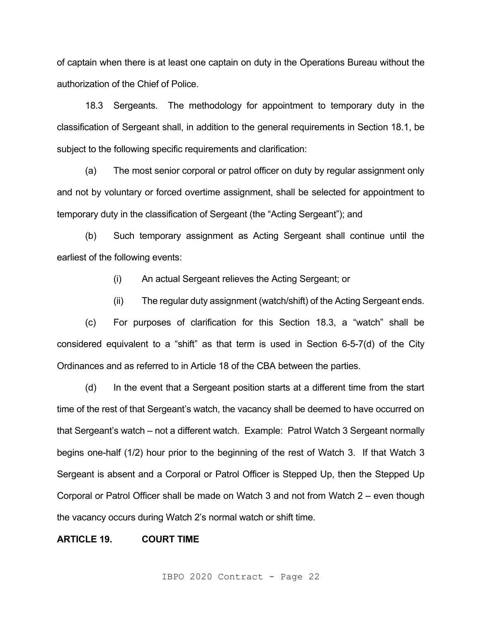of captain when there is at least one captain on duty in the Operations Bureau without the authorization of the Chief of Police.

18.3 Sergeants. The methodology for appointment to temporary duty in the classification of Sergeant shall, in addition to the general requirements in Section 18.1, be subject to the following specific requirements and clarification:

(a) The most senior corporal or patrol officer on duty by regular assignment only and not by voluntary or forced overtime assignment, shall be selected for appointment to temporary duty in the classification of Sergeant (the "Acting Sergeant"); and

(b) Such temporary assignment as Acting Sergeant shall continue until the earliest of the following events:

(i) An actual Sergeant relieves the Acting Sergeant; or

(ii) The regular duty assignment (watch/shift) of the Acting Sergeant ends.

(c) For purposes of clarification for this Section 18.3, a "watch" shall be considered equivalent to a "shift" as that term is used in Section 6-5-7(d) of the City Ordinances and as referred to in Article 18 of the CBA between the parties.

(d) In the event that a Sergeant position starts at a different time from the start time of the rest of that Sergeant's watch, the vacancy shall be deemed to have occurred on that Sergeant's watch – not a different watch. Example: Patrol Watch 3 Sergeant normally begins one-half (1/2) hour prior to the beginning of the rest of Watch 3. If that Watch 3 Sergeant is absent and a Corporal or Patrol Officer is Stepped Up, then the Stepped Up Corporal or Patrol Officer shall be made on Watch 3 and not from Watch 2 – even though the vacancy occurs during Watch 2's normal watch or shift time.

#### **ARTICLE 19. COURT TIME**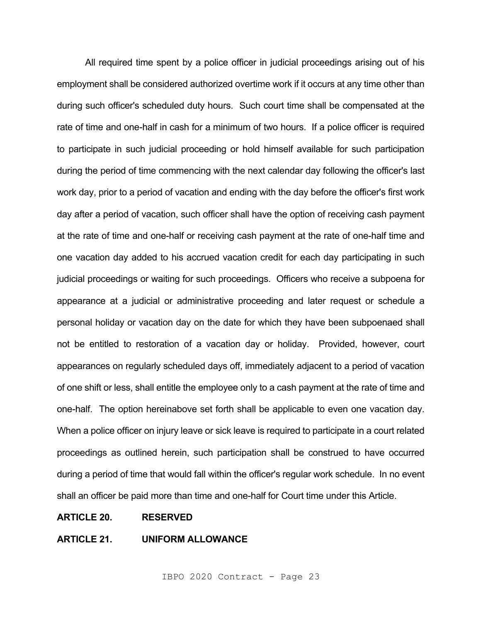All required time spent by a police officer in judicial proceedings arising out of his employment shall be considered authorized overtime work if it occurs at any time other than during such officer's scheduled duty hours. Such court time shall be compensated at the rate of time and one-half in cash for a minimum of two hours. If a police officer is required to participate in such judicial proceeding or hold himself available for such participation during the period of time commencing with the next calendar day following the officer's last work day, prior to a period of vacation and ending with the day before the officer's first work day after a period of vacation, such officer shall have the option of receiving cash payment at the rate of time and one-half or receiving cash payment at the rate of one-half time and one vacation day added to his accrued vacation credit for each day participating in such judicial proceedings or waiting for such proceedings. Officers who receive a subpoena for appearance at a judicial or administrative proceeding and later request or schedule a personal holiday or vacation day on the date for which they have been subpoenaed shall not be entitled to restoration of a vacation day or holiday. Provided, however, court appearances on regularly scheduled days off, immediately adjacent to a period of vacation of one shift or less, shall entitle the employee only to a cash payment at the rate of time and one-half. The option hereinabove set forth shall be applicable to even one vacation day. When a police officer on injury leave or sick leave is required to participate in a court related proceedings as outlined herein, such participation shall be construed to have occurred during a period of time that would fall within the officer's regular work schedule. In no event shall an officer be paid more than time and one-half for Court time under this Article.

### **ARTICLE 20. RESERVED**

### **ARTICLE 21. UNIFORM ALLOWANCE**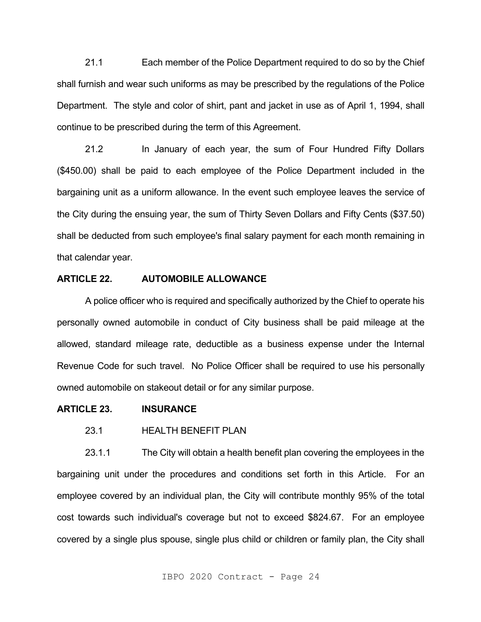21.1 Each member of the Police Department required to do so by the Chief shall furnish and wear such uniforms as may be prescribed by the regulations of the Police Department. The style and color of shirt, pant and jacket in use as of April 1, 1994, shall continue to be prescribed during the term of this Agreement.

21.2 In January of each year, the sum of Four Hundred Fifty Dollars (\$450.00) shall be paid to each employee of the Police Department included in the bargaining unit as a uniform allowance. In the event such employee leaves the service of the City during the ensuing year, the sum of Thirty Seven Dollars and Fifty Cents (\$37.50) shall be deducted from such employee's final salary payment for each month remaining in that calendar year.

# **ARTICLE 22. AUTOMOBILE ALLOWANCE**

A police officer who is required and specifically authorized by the Chief to operate his personally owned automobile in conduct of City business shall be paid mileage at the allowed, standard mileage rate, deductible as a business expense under the Internal Revenue Code for such travel. No Police Officer shall be required to use his personally owned automobile on stakeout detail or for any similar purpose.

#### **ARTICLE 23. INSURANCE**

# 23.1 HEALTH BENEFIT PLAN

23.1.1 The City will obtain a health benefit plan covering the employees in the bargaining unit under the procedures and conditions set forth in this Article. For an employee covered by an individual plan, the City will contribute monthly 95% of the total cost towards such individual's coverage but not to exceed \$824.67. For an employee covered by a single plus spouse, single plus child or children or family plan, the City shall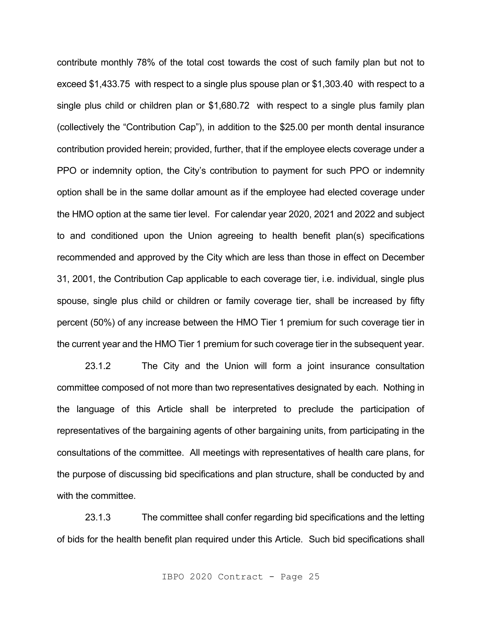contribute monthly 78% of the total cost towards the cost of such family plan but not to exceed \$1,433.75 with respect to a single plus spouse plan or \$1,303.40 with respect to a single plus child or children plan or \$1,680.72 with respect to a single plus family plan (collectively the "Contribution Cap"), in addition to the \$25.00 per month dental insurance contribution provided herein; provided, further, that if the employee elects coverage under a PPO or indemnity option, the City's contribution to payment for such PPO or indemnity option shall be in the same dollar amount as if the employee had elected coverage under the HMO option at the same tier level. For calendar year 2020, 2021 and 2022 and subject to and conditioned upon the Union agreeing to health benefit plan(s) specifications recommended and approved by the City which are less than those in effect on December 31, 2001, the Contribution Cap applicable to each coverage tier, i.e. individual, single plus spouse, single plus child or children or family coverage tier, shall be increased by fifty percent (50%) of any increase between the HMO Tier 1 premium for such coverage tier in the current year and the HMO Tier 1 premium for such coverage tier in the subsequent year.

23.1.2 The City and the Union will form a joint insurance consultation committee composed of not more than two representatives designated by each. Nothing in the language of this Article shall be interpreted to preclude the participation of representatives of the bargaining agents of other bargaining units, from participating in the consultations of the committee. All meetings with representatives of health care plans, for the purpose of discussing bid specifications and plan structure, shall be conducted by and with the committee.

23.1.3 The committee shall confer regarding bid specifications and the letting of bids for the health benefit plan required under this Article. Such bid specifications shall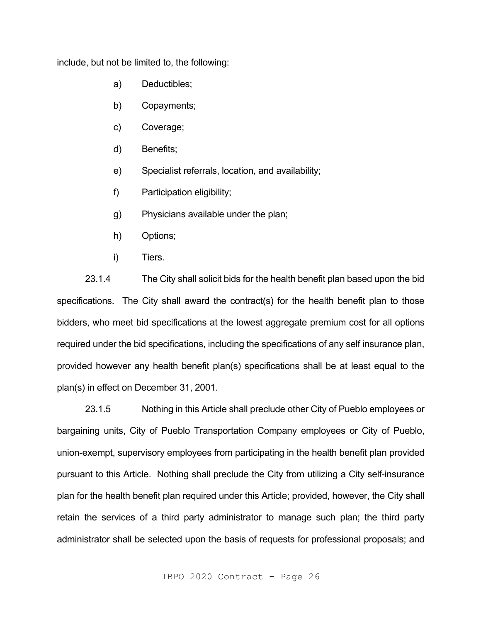include, but not be limited to, the following:

- a) Deductibles;
- b) Copayments;
- c) Coverage;
- d) Benefits;
- e) Specialist referrals, location, and availability;
- f) Participation eligibility;
- g) Physicians available under the plan;
- h) Options;
- i) Tiers.

23.1.4 The City shall solicit bids for the health benefit plan based upon the bid specifications. The City shall award the contract(s) for the health benefit plan to those bidders, who meet bid specifications at the lowest aggregate premium cost for all options required under the bid specifications, including the specifications of any self insurance plan, provided however any health benefit plan(s) specifications shall be at least equal to the plan(s) in effect on December 31, 2001.

23.1.5 Nothing in this Article shall preclude other City of Pueblo employees or bargaining units, City of Pueblo Transportation Company employees or City of Pueblo, union-exempt, supervisory employees from participating in the health benefit plan provided pursuant to this Article. Nothing shall preclude the City from utilizing a City self-insurance plan for the health benefit plan required under this Article; provided, however, the City shall retain the services of a third party administrator to manage such plan; the third party administrator shall be selected upon the basis of requests for professional proposals; and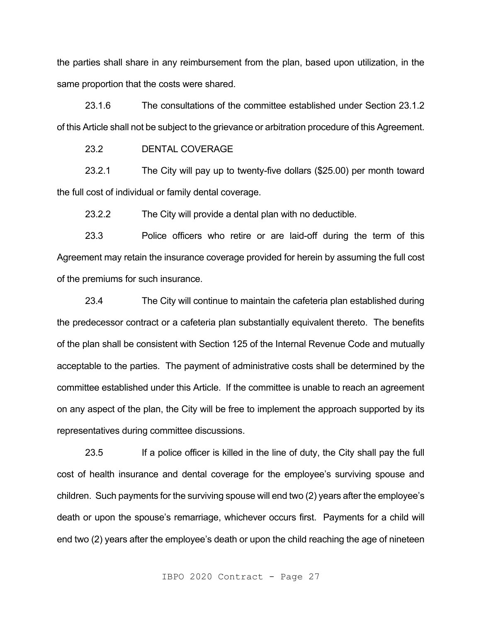the parties shall share in any reimbursement from the plan, based upon utilization, in the same proportion that the costs were shared.

23.1.6 The consultations of the committee established under Section 23.1.2 of this Article shall not be subject to the grievance or arbitration procedure of this Agreement.

23.2 DENTAL COVERAGE

23.2.1 The City will pay up to twenty-five dollars (\$25.00) per month toward the full cost of individual or family dental coverage.

23.2.2 The City will provide a dental plan with no deductible.

23.3 Police officers who retire or are laid-off during the term of this Agreement may retain the insurance coverage provided for herein by assuming the full cost of the premiums for such insurance.

23.4 The City will continue to maintain the cafeteria plan established during the predecessor contract or a cafeteria plan substantially equivalent thereto. The benefits of the plan shall be consistent with Section 125 of the Internal Revenue Code and mutually acceptable to the parties. The payment of administrative costs shall be determined by the committee established under this Article. If the committee is unable to reach an agreement on any aspect of the plan, the City will be free to implement the approach supported by its representatives during committee discussions.

23.5 If a police officer is killed in the line of duty, the City shall pay the full cost of health insurance and dental coverage for the employee's surviving spouse and children. Such payments for the surviving spouse will end two (2) years after the employee's death or upon the spouse's remarriage, whichever occurs first. Payments for a child will end two (2) years after the employee's death or upon the child reaching the age of nineteen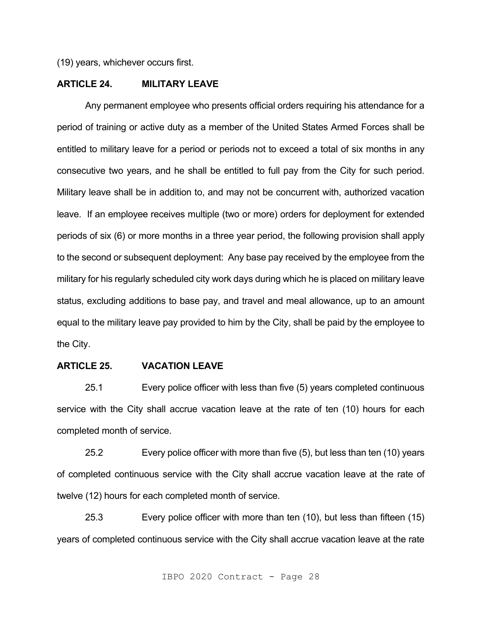(19) years, whichever occurs first.

# **ARTICLE 24. MILITARY LEAVE**

Any permanent employee who presents official orders requiring his attendance for a period of training or active duty as a member of the United States Armed Forces shall be entitled to military leave for a period or periods not to exceed a total of six months in any consecutive two years, and he shall be entitled to full pay from the City for such period. Military leave shall be in addition to, and may not be concurrent with, authorized vacation leave. If an employee receives multiple (two or more) orders for deployment for extended periods of six (6) or more months in a three year period, the following provision shall apply to the second or subsequent deployment: Any base pay received by the employee from the military for his regularly scheduled city work days during which he is placed on military leave status, excluding additions to base pay, and travel and meal allowance, up to an amount equal to the military leave pay provided to him by the City, shall be paid by the employee to the City.

### **ARTICLE 25. VACATION LEAVE**

25.1 Every police officer with less than five (5) years completed continuous service with the City shall accrue vacation leave at the rate of ten (10) hours for each completed month of service.

25.2 Every police officer with more than five (5), but less than ten (10) years of completed continuous service with the City shall accrue vacation leave at the rate of twelve (12) hours for each completed month of service.

25.3 Every police officer with more than ten (10), but less than fifteen (15) years of completed continuous service with the City shall accrue vacation leave at the rate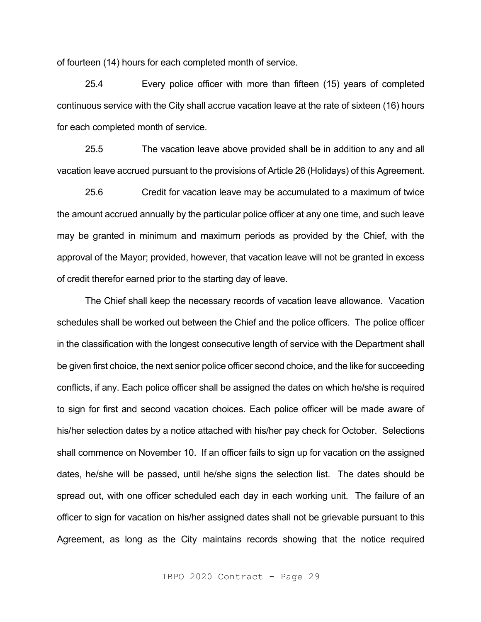of fourteen (14) hours for each completed month of service.

25.4 Every police officer with more than fifteen (15) years of completed continuous service with the City shall accrue vacation leave at the rate of sixteen (16) hours for each completed month of service.

25.5 The vacation leave above provided shall be in addition to any and all vacation leave accrued pursuant to the provisions of Article 26 (Holidays) of this Agreement.

25.6 Credit for vacation leave may be accumulated to a maximum of twice the amount accrued annually by the particular police officer at any one time, and such leave may be granted in minimum and maximum periods as provided by the Chief, with the approval of the Mayor; provided, however, that vacation leave will not be granted in excess of credit therefor earned prior to the starting day of leave.

The Chief shall keep the necessary records of vacation leave allowance. Vacation schedules shall be worked out between the Chief and the police officers. The police officer in the classification with the longest consecutive length of service with the Department shall be given first choice, the next senior police officer second choice, and the like for succeeding conflicts, if any. Each police officer shall be assigned the dates on which he/she is required to sign for first and second vacation choices. Each police officer will be made aware of his/her selection dates by a notice attached with his/her pay check for October. Selections shall commence on November 10. If an officer fails to sign up for vacation on the assigned dates, he/she will be passed, until he/she signs the selection list. The dates should be spread out, with one officer scheduled each day in each working unit. The failure of an officer to sign for vacation on his/her assigned dates shall not be grievable pursuant to this Agreement, as long as the City maintains records showing that the notice required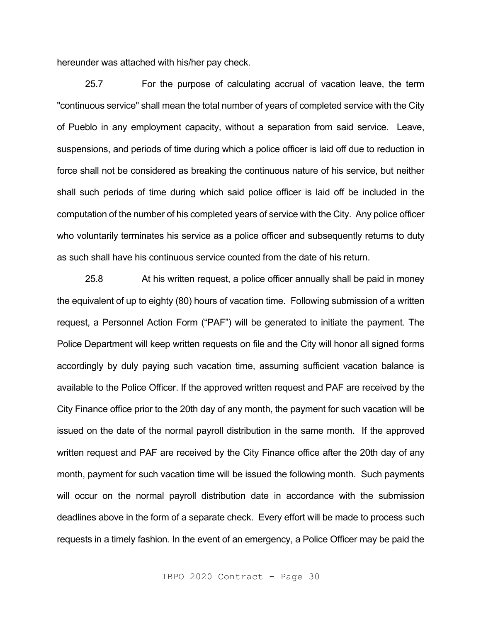hereunder was attached with his/her pay check.

25.7 For the purpose of calculating accrual of vacation leave, the term "continuous service" shall mean the total number of years of completed service with the City of Pueblo in any employment capacity, without a separation from said service. Leave, suspensions, and periods of time during which a police officer is laid off due to reduction in force shall not be considered as breaking the continuous nature of his service, but neither shall such periods of time during which said police officer is laid off be included in the computation of the number of his completed years of service with the City. Any police officer who voluntarily terminates his service as a police officer and subsequently returns to duty as such shall have his continuous service counted from the date of his return.

25.8 At his written request, a police officer annually shall be paid in money the equivalent of up to eighty (80) hours of vacation time. Following submission of a written request, a Personnel Action Form ("PAF") will be generated to initiate the payment. The Police Department will keep written requests on file and the City will honor all signed forms accordingly by duly paying such vacation time, assuming sufficient vacation balance is available to the Police Officer. If the approved written request and PAF are received by the City Finance office prior to the 20th day of any month, the payment for such vacation will be issued on the date of the normal payroll distribution in the same month. If the approved written request and PAF are received by the City Finance office after the 20th day of any month, payment for such vacation time will be issued the following month. Such payments will occur on the normal payroll distribution date in accordance with the submission deadlines above in the form of a separate check. Every effort will be made to process such requests in a timely fashion. In the event of an emergency, a Police Officer may be paid the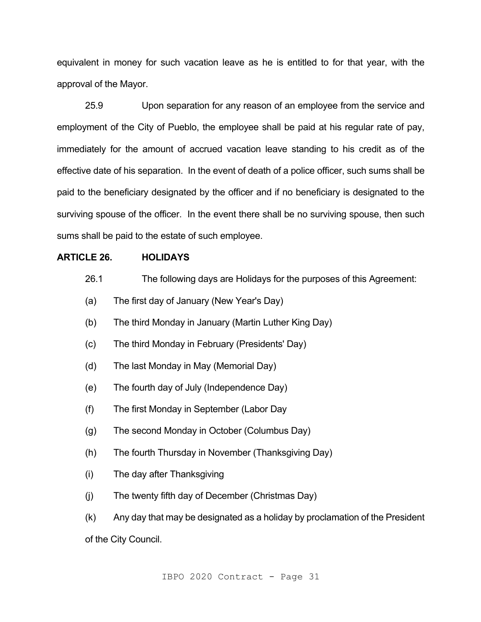equivalent in money for such vacation leave as he is entitled to for that year, with the approval of the Mayor.

25.9 Upon separation for any reason of an employee from the service and employment of the City of Pueblo, the employee shall be paid at his regular rate of pay, immediately for the amount of accrued vacation leave standing to his credit as of the effective date of his separation. In the event of death of a police officer, such sums shall be paid to the beneficiary designated by the officer and if no beneficiary is designated to the surviving spouse of the officer. In the event there shall be no surviving spouse, then such sums shall be paid to the estate of such employee.

# **ARTICLE 26. HOLIDAYS**

- 26.1 The following days are Holidays for the purposes of this Agreement:
- (a) The first day of January (New Year's Day)
- (b) The third Monday in January (Martin Luther King Day)
- (c) The third Monday in February (Presidents' Day)
- (d) The last Monday in May (Memorial Day)
- (e) The fourth day of July (Independence Day)
- (f) The first Monday in September (Labor Day
- (g) The second Monday in October (Columbus Day)
- (h) The fourth Thursday in November (Thanksgiving Day)
- (i) The day after Thanksgiving
- (j) The twenty fifth day of December (Christmas Day)
- (k) Any day that may be designated as a holiday by proclamation of the President of the City Council.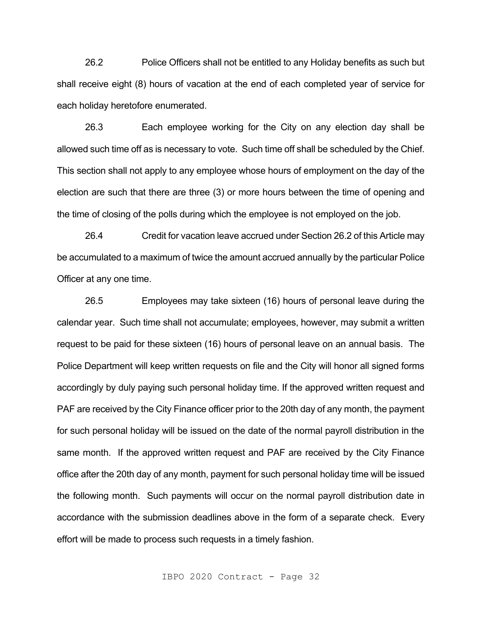26.2 Police Officers shall not be entitled to any Holiday benefits as such but shall receive eight (8) hours of vacation at the end of each completed year of service for each holiday heretofore enumerated.

26.3 Each employee working for the City on any election day shall be allowed such time off as is necessary to vote. Such time off shall be scheduled by the Chief. This section shall not apply to any employee whose hours of employment on the day of the election are such that there are three (3) or more hours between the time of opening and the time of closing of the polls during which the employee is not employed on the job.

26.4 Credit for vacation leave accrued under Section 26.2 of this Article may be accumulated to a maximum of twice the amount accrued annually by the particular Police Officer at any one time.

26.5 Employees may take sixteen (16) hours of personal leave during the calendar year. Such time shall not accumulate; employees, however, may submit a written request to be paid for these sixteen (16) hours of personal leave on an annual basis. The Police Department will keep written requests on file and the City will honor all signed forms accordingly by duly paying such personal holiday time. If the approved written request and PAF are received by the City Finance officer prior to the 20th day of any month, the payment for such personal holiday will be issued on the date of the normal payroll distribution in the same month. If the approved written request and PAF are received by the City Finance office after the 20th day of any month, payment for such personal holiday time will be issued the following month. Such payments will occur on the normal payroll distribution date in accordance with the submission deadlines above in the form of a separate check. Every effort will be made to process such requests in a timely fashion.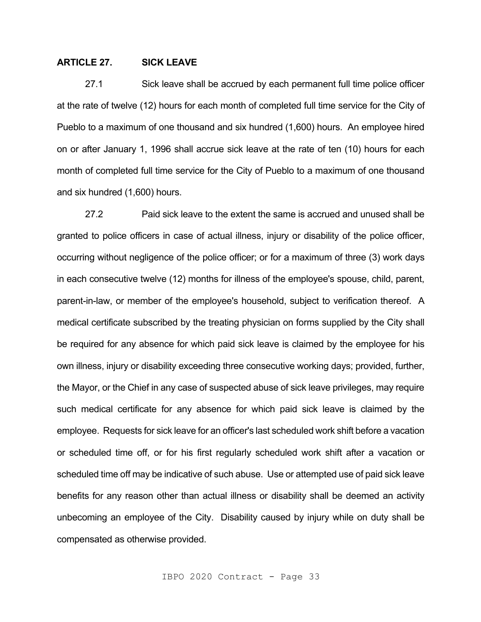# **ARTICLE 27. SICK LEAVE**

27.1 Sick leave shall be accrued by each permanent full time police officer at the rate of twelve (12) hours for each month of completed full time service for the City of Pueblo to a maximum of one thousand and six hundred (1,600) hours. An employee hired on or after January 1, 1996 shall accrue sick leave at the rate of ten (10) hours for each month of completed full time service for the City of Pueblo to a maximum of one thousand and six hundred (1,600) hours.

27.2 Paid sick leave to the extent the same is accrued and unused shall be granted to police officers in case of actual illness, injury or disability of the police officer, occurring without negligence of the police officer; or for a maximum of three (3) work days in each consecutive twelve (12) months for illness of the employee's spouse, child, parent, parent-in-law, or member of the employee's household, subject to verification thereof. A medical certificate subscribed by the treating physician on forms supplied by the City shall be required for any absence for which paid sick leave is claimed by the employee for his own illness, injury or disability exceeding three consecutive working days; provided, further, the Mayor, or the Chief in any case of suspected abuse of sick leave privileges, may require such medical certificate for any absence for which paid sick leave is claimed by the employee. Requests for sick leave for an officer's last scheduled work shift before a vacation or scheduled time off, or for his first regularly scheduled work shift after a vacation or scheduled time off may be indicative of such abuse. Use or attempted use of paid sick leave benefits for any reason other than actual illness or disability shall be deemed an activity unbecoming an employee of the City. Disability caused by injury while on duty shall be compensated as otherwise provided.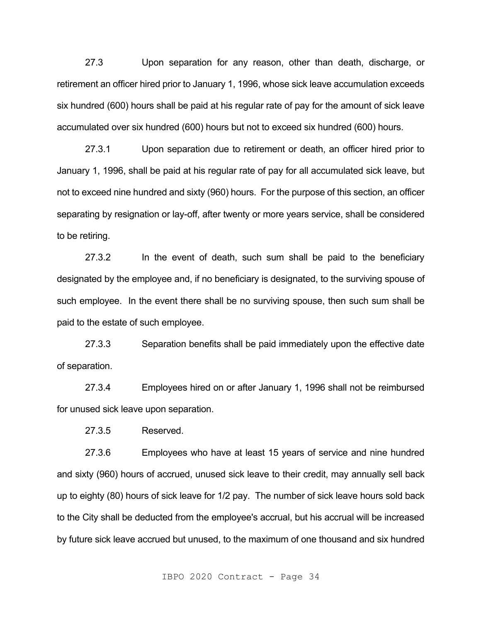27.3 Upon separation for any reason, other than death, discharge, or retirement an officer hired prior to January 1, 1996, whose sick leave accumulation exceeds six hundred (600) hours shall be paid at his regular rate of pay for the amount of sick leave accumulated over six hundred (600) hours but not to exceed six hundred (600) hours.

27.3.1 Upon separation due to retirement or death, an officer hired prior to January 1, 1996, shall be paid at his regular rate of pay for all accumulated sick leave, but not to exceed nine hundred and sixty (960) hours. For the purpose of this section, an officer separating by resignation or lay-off, after twenty or more years service, shall be considered to be retiring.

27.3.2 In the event of death, such sum shall be paid to the beneficiary designated by the employee and, if no beneficiary is designated, to the surviving spouse of such employee. In the event there shall be no surviving spouse, then such sum shall be paid to the estate of such employee.

27.3.3 Separation benefits shall be paid immediately upon the effective date of separation.

27.3.4 Employees hired on or after January 1, 1996 shall not be reimbursed for unused sick leave upon separation.

27.3.5 Reserved.

27.3.6 Employees who have at least 15 years of service and nine hundred and sixty (960) hours of accrued, unused sick leave to their credit, may annually sell back up to eighty (80) hours of sick leave for 1/2 pay. The number of sick leave hours sold back to the City shall be deducted from the employee's accrual, but his accrual will be increased by future sick leave accrued but unused, to the maximum of one thousand and six hundred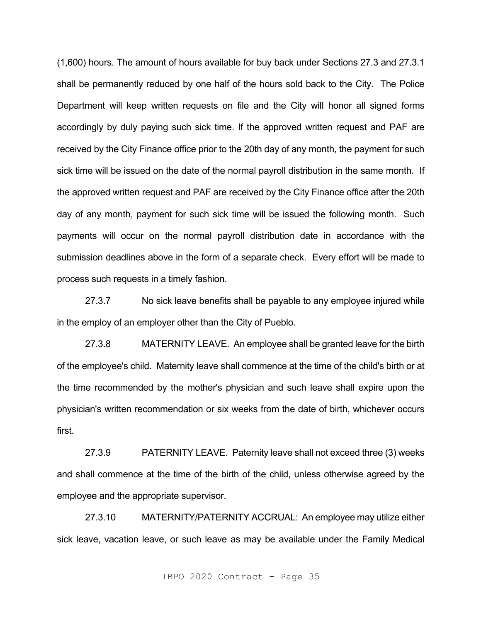(1,600) hours. The amount of hours available for buy back under Sections 27.3 and 27.3.1 shall be permanently reduced by one half of the hours sold back to the City. The Police Department will keep written requests on file and the City will honor all signed forms accordingly by duly paying such sick time. If the approved written request and PAF are received by the City Finance office prior to the 20th day of any month, the payment for such sick time will be issued on the date of the normal payroll distribution in the same month. If the approved written request and PAF are received by the City Finance office after the 20th day of any month, payment for such sick time will be issued the following month. Such payments will occur on the normal payroll distribution date in accordance with the submission deadlines above in the form of a separate check. Every effort will be made to process such requests in a timely fashion.

27.3.7 No sick leave benefits shall be payable to any employee injured while in the employ of an employer other than the City of Pueblo.

27.3.8 MATERNITY LEAVE. An employee shall be granted leave for the birth of the employee's child. Maternity leave shall commence at the time of the child's birth or at the time recommended by the mother's physician and such leave shall expire upon the physician's written recommendation or six weeks from the date of birth, whichever occurs first.

27.3.9 PATERNITY LEAVE. Paternity leave shall not exceed three (3) weeks and shall commence at the time of the birth of the child, unless otherwise agreed by the employee and the appropriate supervisor.

27.3.10 MATERNITY/PATERNITY ACCRUAL: An employee may utilize either sick leave, vacation leave, or such leave as may be available under the Family Medical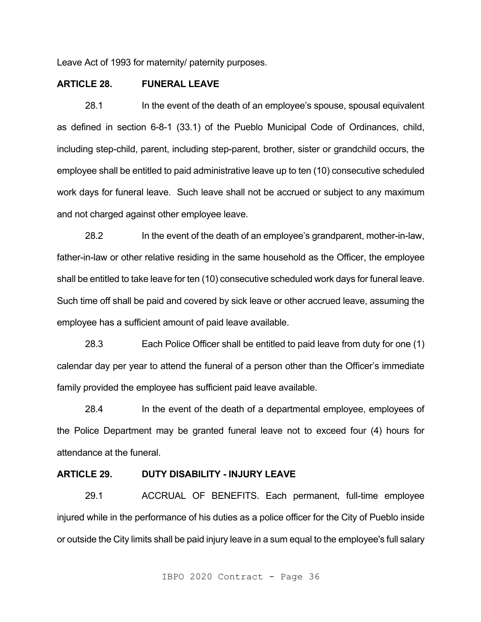Leave Act of 1993 for maternity/ paternity purposes.

# **ARTICLE 28. FUNERAL LEAVE**

28.1 In the event of the death of an employee's spouse, spousal equivalent as defined in section 6-8-1 (33.1) of the Pueblo Municipal Code of Ordinances, child, including step-child, parent, including step-parent, brother, sister or grandchild occurs, the employee shall be entitled to paid administrative leave up to ten (10) consecutive scheduled work days for funeral leave. Such leave shall not be accrued or subject to any maximum and not charged against other employee leave.

28.2 In the event of the death of an employee's grandparent, mother-in-law, father-in-law or other relative residing in the same household as the Officer, the employee shall be entitled to take leave for ten (10) consecutive scheduled work days for funeral leave. Such time off shall be paid and covered by sick leave or other accrued leave, assuming the employee has a sufficient amount of paid leave available.

28.3 Each Police Officer shall be entitled to paid leave from duty for one (1) calendar day per year to attend the funeral of a person other than the Officer's immediate family provided the employee has sufficient paid leave available.

28.4 In the event of the death of a departmental employee, employees of the Police Department may be granted funeral leave not to exceed four (4) hours for attendance at the funeral.

#### **ARTICLE 29. DUTY DISABILITY - INJURY LEAVE**

29.1 ACCRUAL OF BENEFITS. Each permanent, full-time employee injured while in the performance of his duties as a police officer for the City of Pueblo inside or outside the City limits shall be paid injury leave in a sum equal to the employee's full salary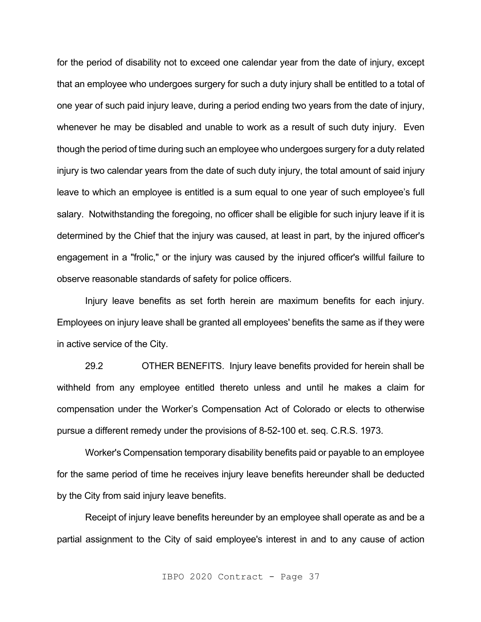for the period of disability not to exceed one calendar year from the date of injury, except that an employee who undergoes surgery for such a duty injury shall be entitled to a total of one year of such paid injury leave, during a period ending two years from the date of injury, whenever he may be disabled and unable to work as a result of such duty injury. Even though the period of time during such an employee who undergoes surgery for a duty related injury is two calendar years from the date of such duty injury, the total amount of said injury leave to which an employee is entitled is a sum equal to one year of such employee's full salary. Notwithstanding the foregoing, no officer shall be eligible for such injury leave if it is determined by the Chief that the injury was caused, at least in part, by the injured officer's engagement in a "frolic," or the injury was caused by the injured officer's willful failure to observe reasonable standards of safety for police officers.

Injury leave benefits as set forth herein are maximum benefits for each injury. Employees on injury leave shall be granted all employees' benefits the same as if they were in active service of the City.

29.2 OTHER BENEFITS. Injury leave benefits provided for herein shall be withheld from any employee entitled thereto unless and until he makes a claim for compensation under the Worker's Compensation Act of Colorado or elects to otherwise pursue a different remedy under the provisions of 8-52-100 et. seq. C.R.S. 1973.

Worker's Compensation temporary disability benefits paid or payable to an employee for the same period of time he receives injury leave benefits hereunder shall be deducted by the City from said injury leave benefits.

Receipt of injury leave benefits hereunder by an employee shall operate as and be a partial assignment to the City of said employee's interest in and to any cause of action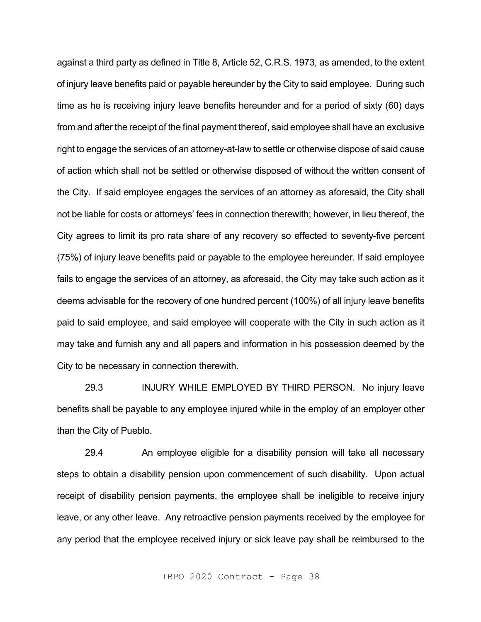against a third party as defined in Title 8, Article 52, C.R.S. 1973, as amended, to the extent of injury leave benefits paid or payable hereunder by the City to said employee. During such time as he is receiving injury leave benefits hereunder and for a period of sixty (60) days from and after the receipt of the final payment thereof, said employee shall have an exclusive right to engage the services of an attorney-at-law to settle or otherwise dispose of said cause of action which shall not be settled or otherwise disposed of without the written consent of the City. If said employee engages the services of an attorney as aforesaid, the City shall not be liable for costs or attorneys' fees in connection therewith; however, in lieu thereof, the City agrees to limit its pro rata share of any recovery so effected to seventy-five percent (75%) of injury leave benefits paid or payable to the employee hereunder. If said employee fails to engage the services of an attorney, as aforesaid, the City may take such action as it deems advisable for the recovery of one hundred percent (100%) of all injury leave benefits paid to said employee, and said employee will cooperate with the City in such action as it may take and furnish any and all papers and information in his possession deemed by the City to be necessary in connection therewith.

29.3 INJURY WHILE EMPLOYED BY THIRD PERSON. No injury leave benefits shall be payable to any employee injured while in the employ of an employer other than the City of Pueblo.

29.4 An employee eligible for a disability pension will take all necessary steps to obtain a disability pension upon commencement of such disability. Upon actual receipt of disability pension payments, the employee shall be ineligible to receive injury leave, or any other leave. Any retroactive pension payments received by the employee for any period that the employee received injury or sick leave pay shall be reimbursed to the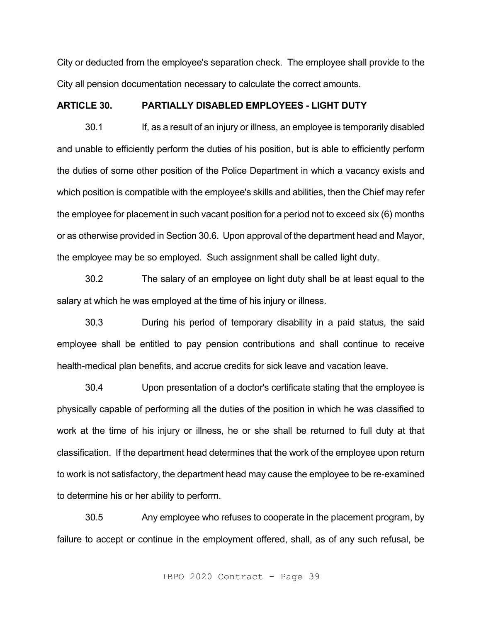City or deducted from the employee's separation check. The employee shall provide to the City all pension documentation necessary to calculate the correct amounts.

# **ARTICLE 30. PARTIALLY DISABLED EMPLOYEES - LIGHT DUTY**

30.1 If, as a result of an injury or illness, an employee is temporarily disabled and unable to efficiently perform the duties of his position, but is able to efficiently perform the duties of some other position of the Police Department in which a vacancy exists and which position is compatible with the employee's skills and abilities, then the Chief may refer the employee for placement in such vacant position for a period not to exceed six (6) months or as otherwise provided in Section 30.6. Upon approval of the department head and Mayor, the employee may be so employed. Such assignment shall be called light duty.

30.2 The salary of an employee on light duty shall be at least equal to the salary at which he was employed at the time of his injury or illness.

30.3 During his period of temporary disability in a paid status, the said employee shall be entitled to pay pension contributions and shall continue to receive health-medical plan benefits, and accrue credits for sick leave and vacation leave.

30.4 Upon presentation of a doctor's certificate stating that the employee is physically capable of performing all the duties of the position in which he was classified to work at the time of his injury or illness, he or she shall be returned to full duty at that classification. If the department head determines that the work of the employee upon return to work is not satisfactory, the department head may cause the employee to be re-examined to determine his or her ability to perform.

30.5 Any employee who refuses to cooperate in the placement program, by failure to accept or continue in the employment offered, shall, as of any such refusal, be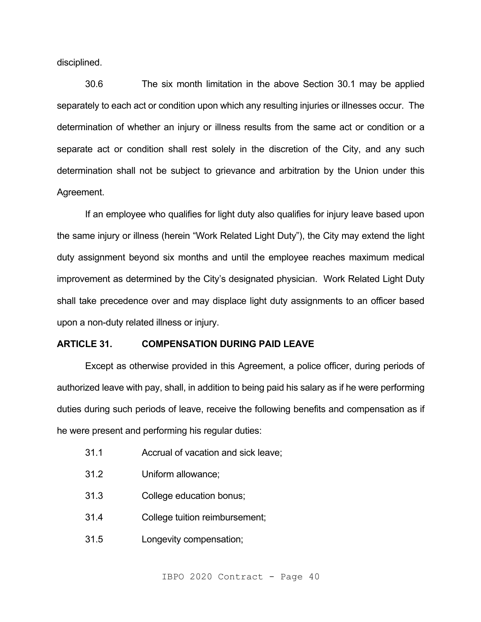disciplined.

30.6 The six month limitation in the above Section 30.1 may be applied separately to each act or condition upon which any resulting injuries or illnesses occur. The determination of whether an injury or illness results from the same act or condition or a separate act or condition shall rest solely in the discretion of the City, and any such determination shall not be subject to grievance and arbitration by the Union under this Agreement.

If an employee who qualifies for light duty also qualifies for injury leave based upon the same injury or illness (herein "Work Related Light Duty"), the City may extend the light duty assignment beyond six months and until the employee reaches maximum medical improvement as determined by the City's designated physician. Work Related Light Duty shall take precedence over and may displace light duty assignments to an officer based upon a non-duty related illness or injury.

#### **ARTICLE 31. COMPENSATION DURING PAID LEAVE**

Except as otherwise provided in this Agreement, a police officer, during periods of authorized leave with pay, shall, in addition to being paid his salary as if he were performing duties during such periods of leave, receive the following benefits and compensation as if he were present and performing his regular duties:

- 31.1 Accrual of vacation and sick leave;
- 31.2 Uniform allowance;
- 31.3 College education bonus;
- 31.4 College tuition reimbursement;
- 31.5 Longevity compensation;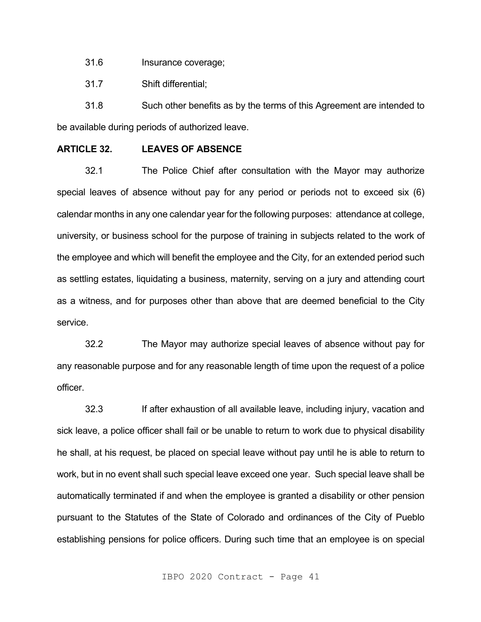31.6 Insurance coverage;

31.7 Shift differential;

31.8 Such other benefits as by the terms of this Agreement are intended to be available during periods of authorized leave.

# **ARTICLE 32. LEAVES OF ABSENCE**

32.1 The Police Chief after consultation with the Mayor may authorize special leaves of absence without pay for any period or periods not to exceed six (6) calendar months in any one calendar year for the following purposes: attendance at college, university, or business school for the purpose of training in subjects related to the work of the employee and which will benefit the employee and the City, for an extended period such as settling estates, liquidating a business, maternity, serving on a jury and attending court as a witness, and for purposes other than above that are deemed beneficial to the City service.

32.2 The Mayor may authorize special leaves of absence without pay for any reasonable purpose and for any reasonable length of time upon the request of a police officer.

32.3 If after exhaustion of all available leave, including injury, vacation and sick leave, a police officer shall fail or be unable to return to work due to physical disability he shall, at his request, be placed on special leave without pay until he is able to return to work, but in no event shall such special leave exceed one year. Such special leave shall be automatically terminated if and when the employee is granted a disability or other pension pursuant to the Statutes of the State of Colorado and ordinances of the City of Pueblo establishing pensions for police officers. During such time that an employee is on special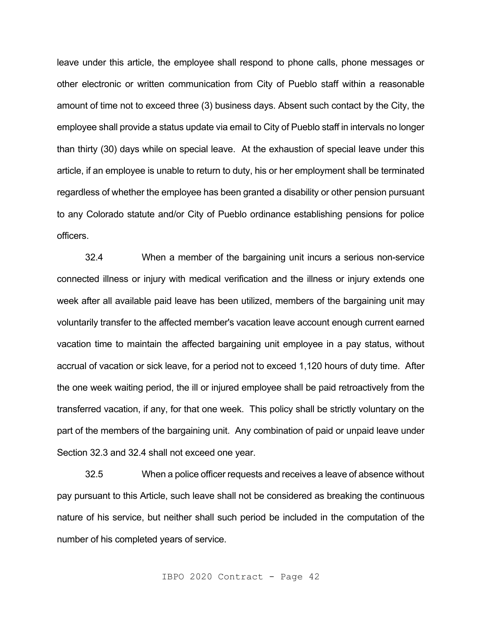leave under this article, the employee shall respond to phone calls, phone messages or other electronic or written communication from City of Pueblo staff within a reasonable amount of time not to exceed three (3) business days. Absent such contact by the City, the employee shall provide a status update via email to City of Pueblo staff in intervals no longer than thirty (30) days while on special leave. At the exhaustion of special leave under this article, if an employee is unable to return to duty, his or her employment shall be terminated regardless of whether the employee has been granted a disability or other pension pursuant to any Colorado statute and/or City of Pueblo ordinance establishing pensions for police officers.

32.4 When a member of the bargaining unit incurs a serious non-service connected illness or injury with medical verification and the illness or injury extends one week after all available paid leave has been utilized, members of the bargaining unit may voluntarily transfer to the affected member's vacation leave account enough current earned vacation time to maintain the affected bargaining unit employee in a pay status, without accrual of vacation or sick leave, for a period not to exceed 1,120 hours of duty time. After the one week waiting period, the ill or injured employee shall be paid retroactively from the transferred vacation, if any, for that one week. This policy shall be strictly voluntary on the part of the members of the bargaining unit. Any combination of paid or unpaid leave under Section 32.3 and 32.4 shall not exceed one year.

32.5 When a police officer requests and receives a leave of absence without pay pursuant to this Article, such leave shall not be considered as breaking the continuous nature of his service, but neither shall such period be included in the computation of the number of his completed years of service.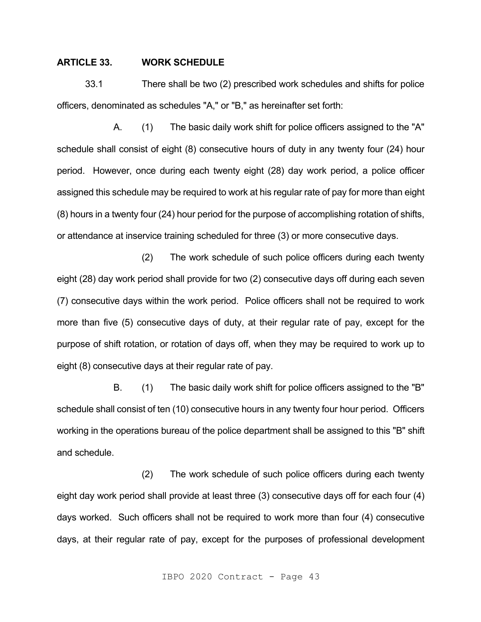# **ARTICLE 33. WORK SCHEDULE**

33.1 There shall be two (2) prescribed work schedules and shifts for police officers, denominated as schedules "A," or "B," as hereinafter set forth:

A. (1) The basic daily work shift for police officers assigned to the "A" schedule shall consist of eight (8) consecutive hours of duty in any twenty four (24) hour period. However, once during each twenty eight (28) day work period, a police officer assigned this schedule may be required to work at his regular rate of pay for more than eight (8) hours in a twenty four (24) hour period for the purpose of accomplishing rotation of shifts, or attendance at inservice training scheduled for three (3) or more consecutive days.

(2) The work schedule of such police officers during each twenty eight (28) day work period shall provide for two (2) consecutive days off during each seven (7) consecutive days within the work period. Police officers shall not be required to work more than five (5) consecutive days of duty, at their regular rate of pay, except for the purpose of shift rotation, or rotation of days off, when they may be required to work up to eight (8) consecutive days at their regular rate of pay.

B. (1) The basic daily work shift for police officers assigned to the "B" schedule shall consist of ten (10) consecutive hours in any twenty four hour period. Officers working in the operations bureau of the police department shall be assigned to this "B" shift and schedule.

(2) The work schedule of such police officers during each twenty eight day work period shall provide at least three (3) consecutive days off for each four (4) days worked. Such officers shall not be required to work more than four (4) consecutive days, at their regular rate of pay, except for the purposes of professional development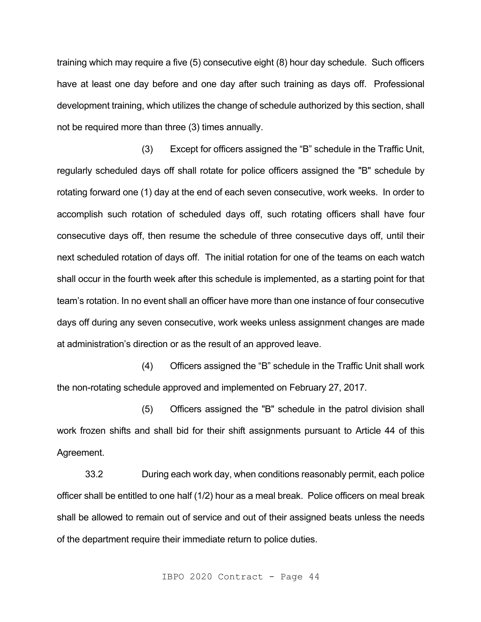training which may require a five (5) consecutive eight (8) hour day schedule. Such officers have at least one day before and one day after such training as days off. Professional development training, which utilizes the change of schedule authorized by this section, shall not be required more than three (3) times annually.

(3) Except for officers assigned the "B" schedule in the Traffic Unit, regularly scheduled days off shall rotate for police officers assigned the "B" schedule by rotating forward one (1) day at the end of each seven consecutive, work weeks. In order to accomplish such rotation of scheduled days off, such rotating officers shall have four consecutive days off, then resume the schedule of three consecutive days off, until their next scheduled rotation of days off. The initial rotation for one of the teams on each watch shall occur in the fourth week after this schedule is implemented, as a starting point for that team's rotation. In no event shall an officer have more than one instance of four consecutive days off during any seven consecutive, work weeks unless assignment changes are made at administration's direction or as the result of an approved leave.

(4) Officers assigned the "B" schedule in the Traffic Unit shall work the non-rotating schedule approved and implemented on February 27, 2017.

(5) Officers assigned the "B" schedule in the patrol division shall work frozen shifts and shall bid for their shift assignments pursuant to Article 44 of this Agreement.

33.2 During each work day, when conditions reasonably permit, each police officer shall be entitled to one half (1/2) hour as a meal break. Police officers on meal break shall be allowed to remain out of service and out of their assigned beats unless the needs of the department require their immediate return to police duties.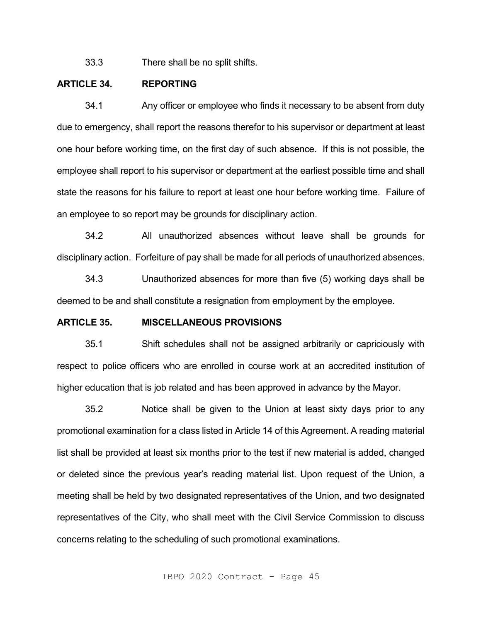33.3 There shall be no split shifts.

# **ARTICLE 34. REPORTING**

34.1 Any officer or employee who finds it necessary to be absent from duty due to emergency, shall report the reasons therefor to his supervisor or department at least one hour before working time, on the first day of such absence. If this is not possible, the employee shall report to his supervisor or department at the earliest possible time and shall state the reasons for his failure to report at least one hour before working time. Failure of an employee to so report may be grounds for disciplinary action.

34.2 All unauthorized absences without leave shall be grounds for disciplinary action. Forfeiture of pay shall be made for all periods of unauthorized absences.

34.3 Unauthorized absences for more than five (5) working days shall be deemed to be and shall constitute a resignation from employment by the employee.

# **ARTICLE 35. MISCELLANEOUS PROVISIONS**

35.1 Shift schedules shall not be assigned arbitrarily or capriciously with respect to police officers who are enrolled in course work at an accredited institution of higher education that is job related and has been approved in advance by the Mayor.

35.2 Notice shall be given to the Union at least sixty days prior to any promotional examination for a class listed in Article 14 of this Agreement. A reading material list shall be provided at least six months prior to the test if new material is added, changed or deleted since the previous year's reading material list. Upon request of the Union, a meeting shall be held by two designated representatives of the Union, and two designated representatives of the City, who shall meet with the Civil Service Commission to discuss concerns relating to the scheduling of such promotional examinations.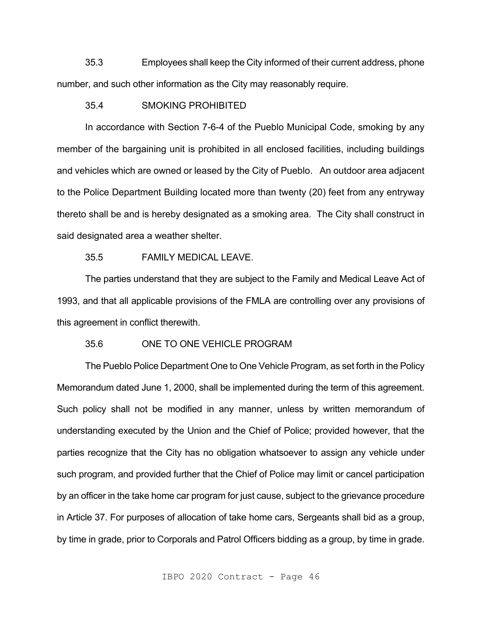35.3 Employees shall keep the City informed of their current address, phone number, and such other information as the City may reasonably require.

### 35.4 SMOKING PROHIBITED

In accordance with Section 7-6-4 of the Pueblo Municipal Code, smoking by any member of the bargaining unit is prohibited in all enclosed facilities, including buildings and vehicles which are owned or leased by the City of Pueblo. An outdoor area adjacent to the Police Department Building located more than twenty (20) feet from any entryway thereto shall be and is hereby designated as a smoking area. The City shall construct in said designated area a weather shelter.

### 35.5 FAMILY MEDICAL LEAVE.

The parties understand that they are subject to the Family and Medical Leave Act of 1993, and that all applicable provisions of the FMLA are controlling over any provisions of this agreement in conflict therewith.

### 35.6 ONE TO ONE VEHICLE PROGRAM

The Pueblo Police Department One to One Vehicle Program, as set forth in the Policy Memorandum dated June 1, 2000, shall be implemented during the term of this agreement. Such policy shall not be modified in any manner, unless by written memorandum of understanding executed by the Union and the Chief of Police; provided however, that the parties recognize that the City has no obligation whatsoever to assign any vehicle under such program, and provided further that the Chief of Police may limit or cancel participation by an officer in the take home car program for just cause, subject to the grievance procedure in Article 37. For purposes of allocation of take home cars, Sergeants shall bid as a group, by time in grade, prior to Corporals and Patrol Officers bidding as a group, by time in grade.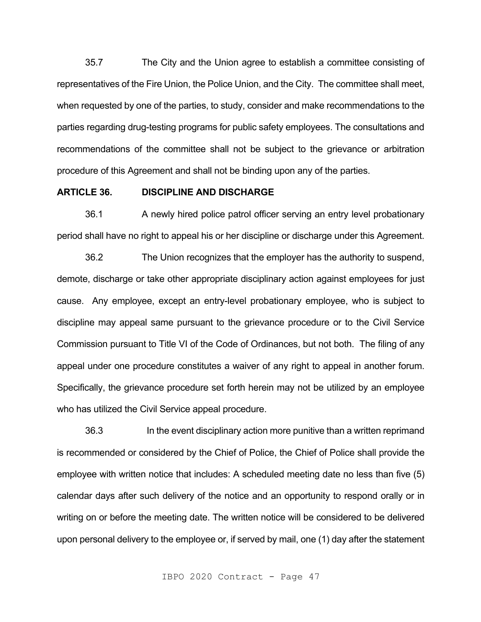35.7 The City and the Union agree to establish a committee consisting of representatives of the Fire Union, the Police Union, and the City. The committee shall meet, when requested by one of the parties, to study, consider and make recommendations to the parties regarding drug-testing programs for public safety employees. The consultations and recommendations of the committee shall not be subject to the grievance or arbitration procedure of this Agreement and shall not be binding upon any of the parties.

# **ARTICLE 36. DISCIPLINE AND DISCHARGE**

36.1 A newly hired police patrol officer serving an entry level probationary period shall have no right to appeal his or her discipline or discharge under this Agreement.

36.2 The Union recognizes that the employer has the authority to suspend, demote, discharge or take other appropriate disciplinary action against employees for just cause. Any employee, except an entry-level probationary employee, who is subject to discipline may appeal same pursuant to the grievance procedure or to the Civil Service Commission pursuant to Title VI of the Code of Ordinances, but not both. The filing of any appeal under one procedure constitutes a waiver of any right to appeal in another forum. Specifically, the grievance procedure set forth herein may not be utilized by an employee who has utilized the Civil Service appeal procedure.

36.3 In the event disciplinary action more punitive than a written reprimand is recommended or considered by the Chief of Police, the Chief of Police shall provide the employee with written notice that includes: A scheduled meeting date no less than five (5) calendar days after such delivery of the notice and an opportunity to respond orally or in writing on or before the meeting date. The written notice will be considered to be delivered upon personal delivery to the employee or, if served by mail, one (1) day after the statement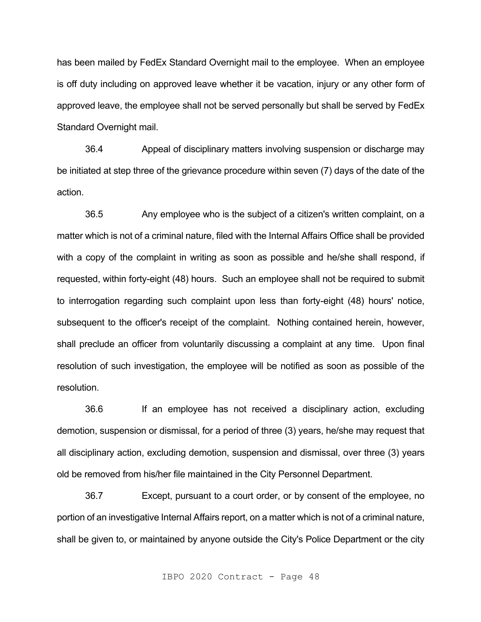has been mailed by FedEx Standard Overnight mail to the employee. When an employee is off duty including on approved leave whether it be vacation, injury or any other form of approved leave, the employee shall not be served personally but shall be served by FedEx Standard Overnight mail.

36.4 Appeal of disciplinary matters involving suspension or discharge may be initiated at step three of the grievance procedure within seven (7) days of the date of the action.

36.5 Any employee who is the subject of a citizen's written complaint, on a matter which is not of a criminal nature, filed with the Internal Affairs Office shall be provided with a copy of the complaint in writing as soon as possible and he/she shall respond, if requested, within forty-eight (48) hours. Such an employee shall not be required to submit to interrogation regarding such complaint upon less than forty-eight (48) hours' notice, subsequent to the officer's receipt of the complaint. Nothing contained herein, however, shall preclude an officer from voluntarily discussing a complaint at any time. Upon final resolution of such investigation, the employee will be notified as soon as possible of the resolution.

36.6 If an employee has not received a disciplinary action, excluding demotion, suspension or dismissal, for a period of three (3) years, he/she may request that all disciplinary action, excluding demotion, suspension and dismissal, over three (3) years old be removed from his/her file maintained in the City Personnel Department.

36.7 Except, pursuant to a court order, or by consent of the employee, no portion of an investigative Internal Affairs report, on a matter which is not of a criminal nature, shall be given to, or maintained by anyone outside the City's Police Department or the city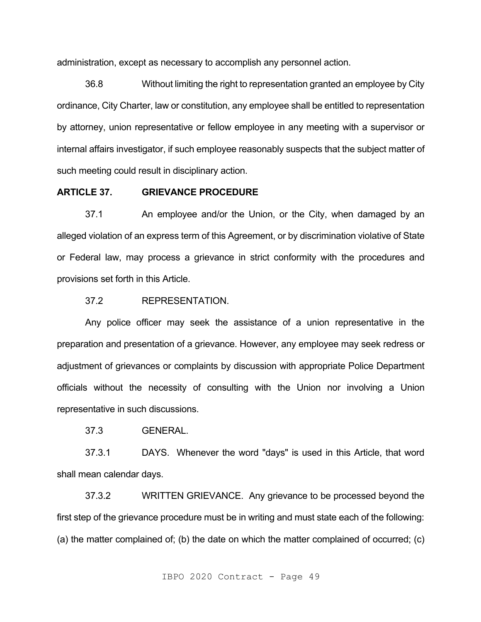administration, except as necessary to accomplish any personnel action.

36.8 Without limiting the right to representation granted an employee by City ordinance, City Charter, law or constitution, any employee shall be entitled to representation by attorney, union representative or fellow employee in any meeting with a supervisor or internal affairs investigator, if such employee reasonably suspects that the subject matter of such meeting could result in disciplinary action.

# **ARTICLE 37. GRIEVANCE PROCEDURE**

37.1 An employee and/or the Union, or the City, when damaged by an alleged violation of an express term of this Agreement, or by discrimination violative of State or Federal law, may process a grievance in strict conformity with the procedures and provisions set forth in this Article.

# 37.2 REPRESENTATION.

Any police officer may seek the assistance of a union representative in the preparation and presentation of a grievance. However, any employee may seek redress or adjustment of grievances or complaints by discussion with appropriate Police Department officials without the necessity of consulting with the Union nor involving a Union representative in such discussions.

37.3 GENERAL.

37.3.1 DAYS. Whenever the word "days" is used in this Article, that word shall mean calendar days.

37.3.2 WRITTEN GRIEVANCE. Any grievance to be processed beyond the first step of the grievance procedure must be in writing and must state each of the following: (a) the matter complained of; (b) the date on which the matter complained of occurred; (c)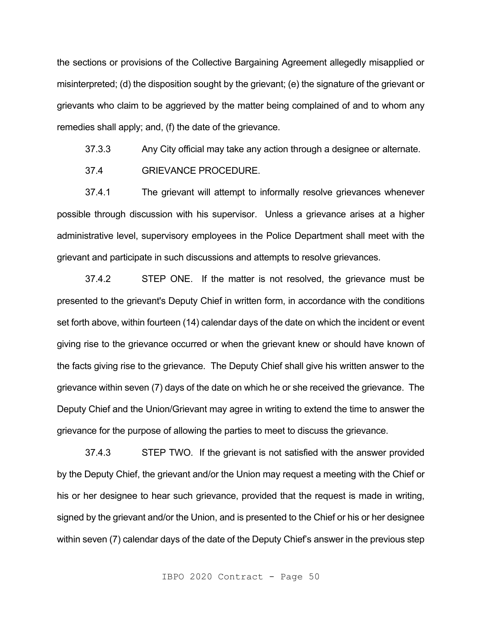the sections or provisions of the Collective Bargaining Agreement allegedly misapplied or misinterpreted; (d) the disposition sought by the grievant; (e) the signature of the grievant or grievants who claim to be aggrieved by the matter being complained of and to whom any remedies shall apply; and, (f) the date of the grievance.

37.3.3 Any City official may take any action through a designee or alternate.

37.4 GRIEVANCE PROCEDURE.

37.4.1 The grievant will attempt to informally resolve grievances whenever possible through discussion with his supervisor. Unless a grievance arises at a higher administrative level, supervisory employees in the Police Department shall meet with the grievant and participate in such discussions and attempts to resolve grievances.

37.4.2 STEP ONE. If the matter is not resolved, the grievance must be presented to the grievant's Deputy Chief in written form, in accordance with the conditions set forth above, within fourteen (14) calendar days of the date on which the incident or event giving rise to the grievance occurred or when the grievant knew or should have known of the facts giving rise to the grievance. The Deputy Chief shall give his written answer to the grievance within seven (7) days of the date on which he or she received the grievance. The Deputy Chief and the Union/Grievant may agree in writing to extend the time to answer the grievance for the purpose of allowing the parties to meet to discuss the grievance.

37.4.3 STEP TWO. If the grievant is not satisfied with the answer provided by the Deputy Chief, the grievant and/or the Union may request a meeting with the Chief or his or her designee to hear such grievance, provided that the request is made in writing, signed by the grievant and/or the Union, and is presented to the Chief or his or her designee within seven (7) calendar days of the date of the Deputy Chief's answer in the previous step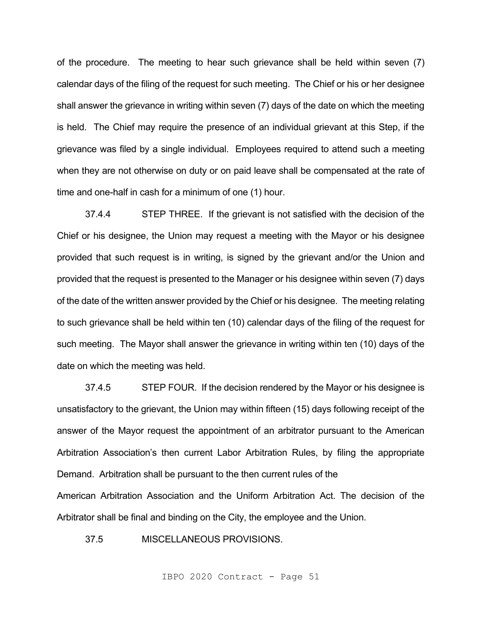of the procedure. The meeting to hear such grievance shall be held within seven (7) calendar days of the filing of the request for such meeting. The Chief or his or her designee shall answer the grievance in writing within seven (7) days of the date on which the meeting is held. The Chief may require the presence of an individual grievant at this Step, if the grievance was filed by a single individual. Employees required to attend such a meeting when they are not otherwise on duty or on paid leave shall be compensated at the rate of time and one-half in cash for a minimum of one (1) hour.

37.4.4 STEP THREE. If the grievant is not satisfied with the decision of the Chief or his designee, the Union may request a meeting with the Mayor or his designee provided that such request is in writing, is signed by the grievant and/or the Union and provided that the request is presented to the Manager or his designee within seven (7) days of the date of the written answer provided by the Chief or his designee. The meeting relating to such grievance shall be held within ten (10) calendar days of the filing of the request for such meeting. The Mayor shall answer the grievance in writing within ten (10) days of the date on which the meeting was held.

37.4.5 STEP FOUR. If the decision rendered by the Mayor or his designee is unsatisfactory to the grievant, the Union may within fifteen (15) days following receipt of the answer of the Mayor request the appointment of an arbitrator pursuant to the American Arbitration Association's then current Labor Arbitration Rules, by filing the appropriate Demand. Arbitration shall be pursuant to the then current rules of the

American Arbitration Association and the Uniform Arbitration Act. The decision of the Arbitrator shall be final and binding on the City, the employee and the Union.

37.5 MISCELLANEOUS PROVISIONS.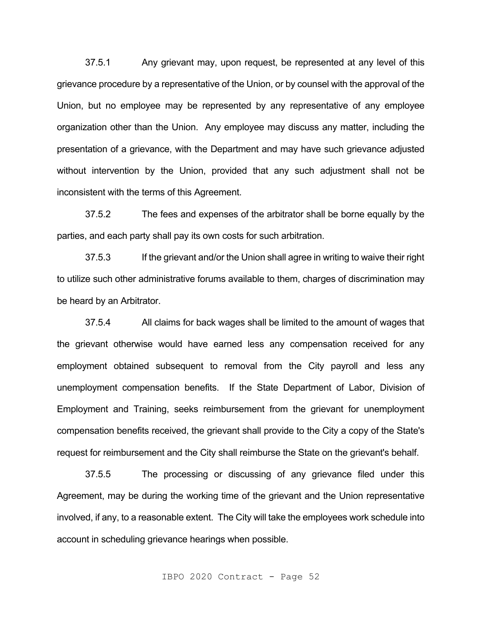37.5.1 Any grievant may, upon request, be represented at any level of this grievance procedure by a representative of the Union, or by counsel with the approval of the Union, but no employee may be represented by any representative of any employee organization other than the Union. Any employee may discuss any matter, including the presentation of a grievance, with the Department and may have such grievance adjusted without intervention by the Union, provided that any such adjustment shall not be inconsistent with the terms of this Agreement.

37.5.2 The fees and expenses of the arbitrator shall be borne equally by the parties, and each party shall pay its own costs for such arbitration.

37.5.3 If the grievant and/or the Union shall agree in writing to waive their right to utilize such other administrative forums available to them, charges of discrimination may be heard by an Arbitrator.

37.5.4 All claims for back wages shall be limited to the amount of wages that the grievant otherwise would have earned less any compensation received for any employment obtained subsequent to removal from the City payroll and less any unemployment compensation benefits. If the State Department of Labor, Division of Employment and Training, seeks reimbursement from the grievant for unemployment compensation benefits received, the grievant shall provide to the City a copy of the State's request for reimbursement and the City shall reimburse the State on the grievant's behalf.

37.5.5 The processing or discussing of any grievance filed under this Agreement, may be during the working time of the grievant and the Union representative involved, if any, to a reasonable extent. The City will take the employees work schedule into account in scheduling grievance hearings when possible.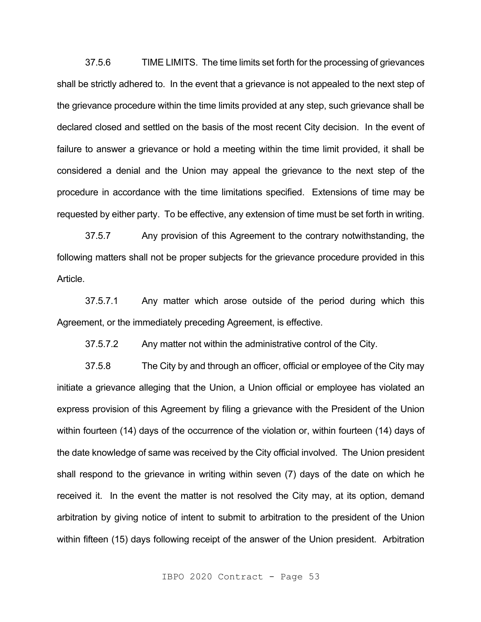37.5.6 TIME LIMITS. The time limits set forth for the processing of grievances shall be strictly adhered to. In the event that a grievance is not appealed to the next step of the grievance procedure within the time limits provided at any step, such grievance shall be declared closed and settled on the basis of the most recent City decision. In the event of failure to answer a grievance or hold a meeting within the time limit provided, it shall be considered a denial and the Union may appeal the grievance to the next step of the procedure in accordance with the time limitations specified. Extensions of time may be requested by either party. To be effective, any extension of time must be set forth in writing.

37.5.7 Any provision of this Agreement to the contrary notwithstanding, the following matters shall not be proper subjects for the grievance procedure provided in this Article.

37.5.7.1 Any matter which arose outside of the period during which this Agreement, or the immediately preceding Agreement, is effective.

37.5.7.2 Any matter not within the administrative control of the City.

37.5.8 The City by and through an officer, official or employee of the City may initiate a grievance alleging that the Union, a Union official or employee has violated an express provision of this Agreement by filing a grievance with the President of the Union within fourteen (14) days of the occurrence of the violation or, within fourteen (14) days of the date knowledge of same was received by the City official involved. The Union president shall respond to the grievance in writing within seven (7) days of the date on which he received it. In the event the matter is not resolved the City may, at its option, demand arbitration by giving notice of intent to submit to arbitration to the president of the Union within fifteen (15) days following receipt of the answer of the Union president. Arbitration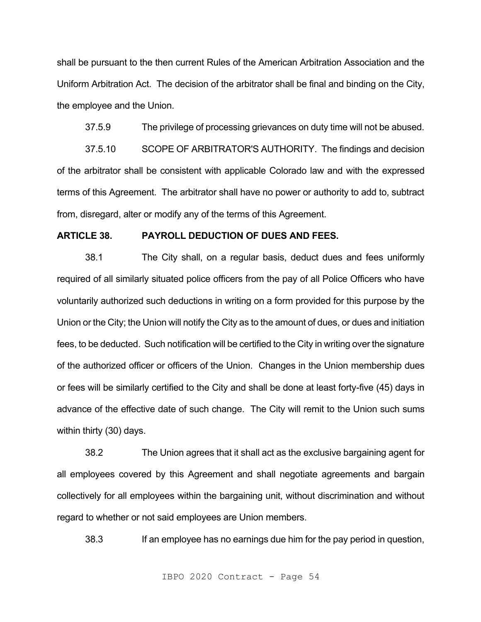shall be pursuant to the then current Rules of the American Arbitration Association and the Uniform Arbitration Act. The decision of the arbitrator shall be final and binding on the City, the employee and the Union.

37.5.9 The privilege of processing grievances on duty time will not be abused.

37.5.10 SCOPE OF ARBITRATOR'S AUTHORITY. The findings and decision of the arbitrator shall be consistent with applicable Colorado law and with the expressed terms of this Agreement. The arbitrator shall have no power or authority to add to, subtract from, disregard, alter or modify any of the terms of this Agreement.

### **ARTICLE 38. PAYROLL DEDUCTION OF DUES AND FEES.**

38.1 The City shall, on a regular basis, deduct dues and fees uniformly required of all similarly situated police officers from the pay of all Police Officers who have voluntarily authorized such deductions in writing on a form provided for this purpose by the Union or the City; the Union will notify the City as to the amount of dues, or dues and initiation fees, to be deducted. Such notification will be certified to the City in writing over the signature of the authorized officer or officers of the Union. Changes in the Union membership dues or fees will be similarly certified to the City and shall be done at least forty-five (45) days in advance of the effective date of such change. The City will remit to the Union such sums within thirty (30) days.

38.2 The Union agrees that it shall act as the exclusive bargaining agent for all employees covered by this Agreement and shall negotiate agreements and bargain collectively for all employees within the bargaining unit, without discrimination and without regard to whether or not said employees are Union members.

38.3 If an employee has no earnings due him for the pay period in question,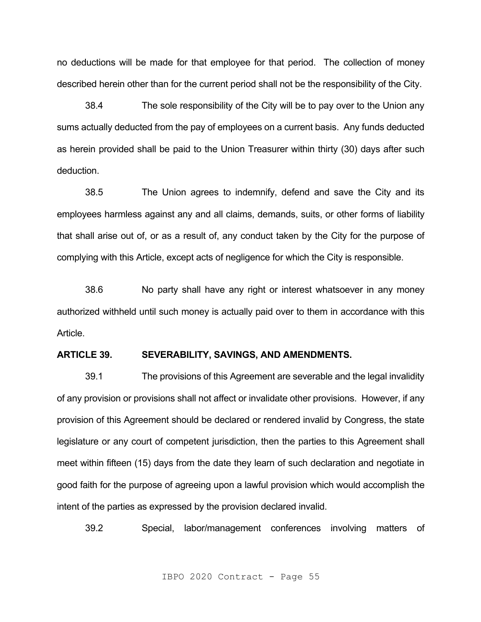no deductions will be made for that employee for that period. The collection of money described herein other than for the current period shall not be the responsibility of the City.

38.4 The sole responsibility of the City will be to pay over to the Union any sums actually deducted from the pay of employees on a current basis. Any funds deducted as herein provided shall be paid to the Union Treasurer within thirty (30) days after such deduction.

38.5 The Union agrees to indemnify, defend and save the City and its employees harmless against any and all claims, demands, suits, or other forms of liability that shall arise out of, or as a result of, any conduct taken by the City for the purpose of complying with this Article, except acts of negligence for which the City is responsible.

38.6 No party shall have any right or interest whatsoever in any money authorized withheld until such money is actually paid over to them in accordance with this Article.

### **ARTICLE 39. SEVERABILITY, SAVINGS, AND AMENDMENTS.**

39.1 The provisions of this Agreement are severable and the legal invalidity of any provision or provisions shall not affect or invalidate other provisions. However, if any provision of this Agreement should be declared or rendered invalid by Congress, the state legislature or any court of competent jurisdiction, then the parties to this Agreement shall meet within fifteen (15) days from the date they learn of such declaration and negotiate in good faith for the purpose of agreeing upon a lawful provision which would accomplish the intent of the parties as expressed by the provision declared invalid.

39.2 Special, labor/management conferences involving matters of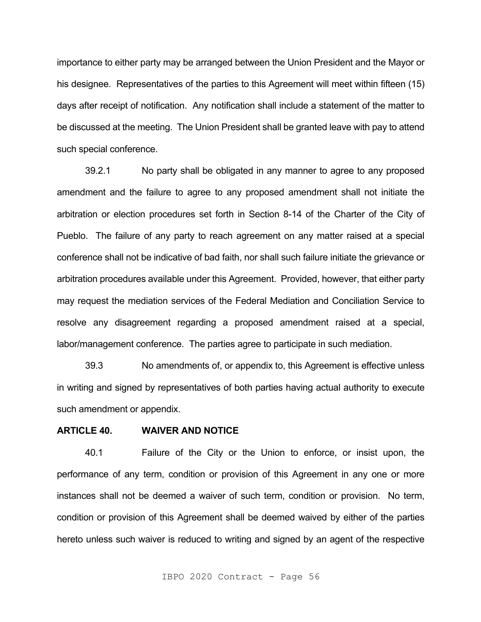importance to either party may be arranged between the Union President and the Mayor or his designee. Representatives of the parties to this Agreement will meet within fifteen (15) days after receipt of notification. Any notification shall include a statement of the matter to be discussed at the meeting. The Union President shall be granted leave with pay to attend such special conference.

39.2.1 No party shall be obligated in any manner to agree to any proposed amendment and the failure to agree to any proposed amendment shall not initiate the arbitration or election procedures set forth in Section 8-14 of the Charter of the City of Pueblo. The failure of any party to reach agreement on any matter raised at a special conference shall not be indicative of bad faith, nor shall such failure initiate the grievance or arbitration procedures available under this Agreement. Provided, however, that either party may request the mediation services of the Federal Mediation and Conciliation Service to resolve any disagreement regarding a proposed amendment raised at a special, labor/management conference. The parties agree to participate in such mediation.

39.3 No amendments of, or appendix to, this Agreement is effective unless in writing and signed by representatives of both parties having actual authority to execute such amendment or appendix.

### **ARTICLE 40. WAIVER AND NOTICE**

40.1 Failure of the City or the Union to enforce, or insist upon, the performance of any term, condition or provision of this Agreement in any one or more instances shall not be deemed a waiver of such term, condition or provision. No term, condition or provision of this Agreement shall be deemed waived by either of the parties hereto unless such waiver is reduced to writing and signed by an agent of the respective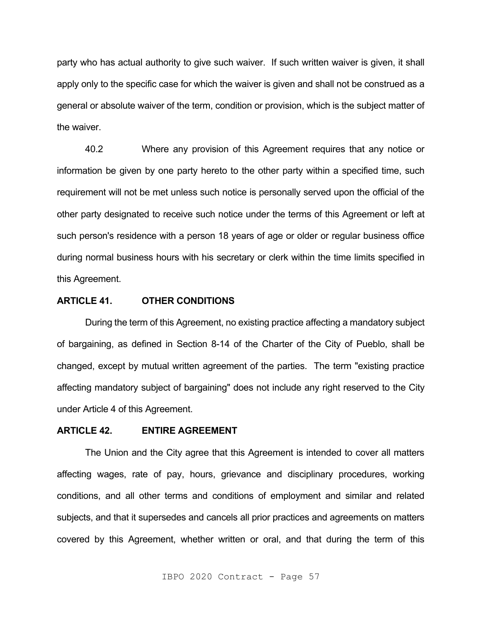party who has actual authority to give such waiver. If such written waiver is given, it shall apply only to the specific case for which the waiver is given and shall not be construed as a general or absolute waiver of the term, condition or provision, which is the subject matter of the waiver.

40.2 Where any provision of this Agreement requires that any notice or information be given by one party hereto to the other party within a specified time, such requirement will not be met unless such notice is personally served upon the official of the other party designated to receive such notice under the terms of this Agreement or left at such person's residence with a person 18 years of age or older or regular business office during normal business hours with his secretary or clerk within the time limits specified in this Agreement.

# **ARTICLE 41. OTHER CONDITIONS**

During the term of this Agreement, no existing practice affecting a mandatory subject of bargaining, as defined in Section 8-14 of the Charter of the City of Pueblo, shall be changed, except by mutual written agreement of the parties. The term "existing practice affecting mandatory subject of bargaining" does not include any right reserved to the City under Article 4 of this Agreement.

### **ARTICLE 42. ENTIRE AGREEMENT**

The Union and the City agree that this Agreement is intended to cover all matters affecting wages, rate of pay, hours, grievance and disciplinary procedures, working conditions, and all other terms and conditions of employment and similar and related subjects, and that it supersedes and cancels all prior practices and agreements on matters covered by this Agreement, whether written or oral, and that during the term of this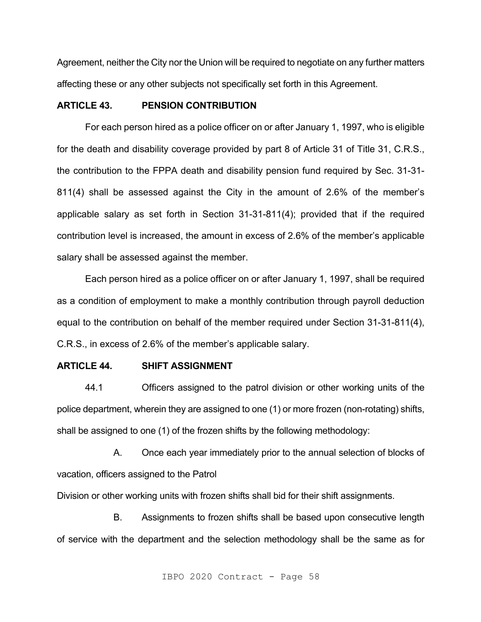Agreement, neither the City nor the Union will be required to negotiate on any further matters affecting these or any other subjects not specifically set forth in this Agreement.

# **ARTICLE 43. PENSION CONTRIBUTION**

For each person hired as a police officer on or after January 1, 1997, who is eligible for the death and disability coverage provided by part 8 of Article 31 of Title 31, C.R.S., the contribution to the FPPA death and disability pension fund required by Sec. 31-31- 811(4) shall be assessed against the City in the amount of 2.6% of the member's applicable salary as set forth in Section 31-31-811(4); provided that if the required contribution level is increased, the amount in excess of 2.6% of the member's applicable salary shall be assessed against the member.

Each person hired as a police officer on or after January 1, 1997, shall be required as a condition of employment to make a monthly contribution through payroll deduction equal to the contribution on behalf of the member required under Section 31-31-811(4), C.R.S., in excess of 2.6% of the member's applicable salary.

#### **ARTICLE 44. SHIFT ASSIGNMENT**

44.1 Officers assigned to the patrol division or other working units of the police department, wherein they are assigned to one (1) or more frozen (non-rotating) shifts, shall be assigned to one (1) of the frozen shifts by the following methodology:

A. Once each year immediately prior to the annual selection of blocks of vacation, officers assigned to the Patrol

Division or other working units with frozen shifts shall bid for their shift assignments.

B. Assignments to frozen shifts shall be based upon consecutive length of service with the department and the selection methodology shall be the same as for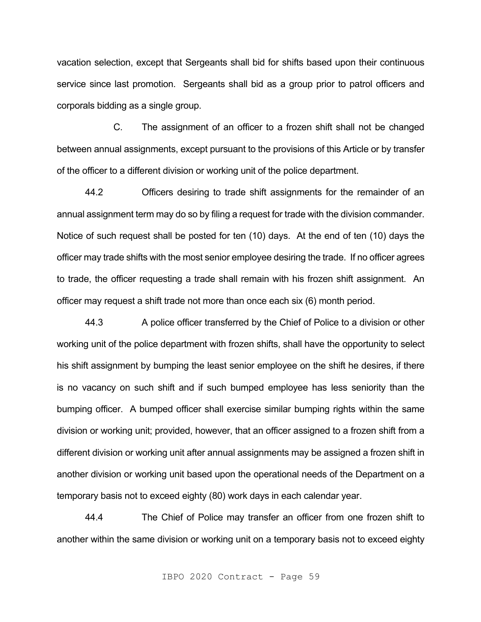vacation selection, except that Sergeants shall bid for shifts based upon their continuous service since last promotion. Sergeants shall bid as a group prior to patrol officers and corporals bidding as a single group.

C. The assignment of an officer to a frozen shift shall not be changed between annual assignments, except pursuant to the provisions of this Article or by transfer of the officer to a different division or working unit of the police department.

44.2 Officers desiring to trade shift assignments for the remainder of an annual assignment term may do so by filing a request for trade with the division commander. Notice of such request shall be posted for ten (10) days. At the end of ten (10) days the officer may trade shifts with the most senior employee desiring the trade. If no officer agrees to trade, the officer requesting a trade shall remain with his frozen shift assignment. An officer may request a shift trade not more than once each six (6) month period.

44.3 A police officer transferred by the Chief of Police to a division or other working unit of the police department with frozen shifts, shall have the opportunity to select his shift assignment by bumping the least senior employee on the shift he desires, if there is no vacancy on such shift and if such bumped employee has less seniority than the bumping officer. A bumped officer shall exercise similar bumping rights within the same division or working unit; provided, however, that an officer assigned to a frozen shift from a different division or working unit after annual assignments may be assigned a frozen shift in another division or working unit based upon the operational needs of the Department on a temporary basis not to exceed eighty (80) work days in each calendar year.

44.4 The Chief of Police may transfer an officer from one frozen shift to another within the same division or working unit on a temporary basis not to exceed eighty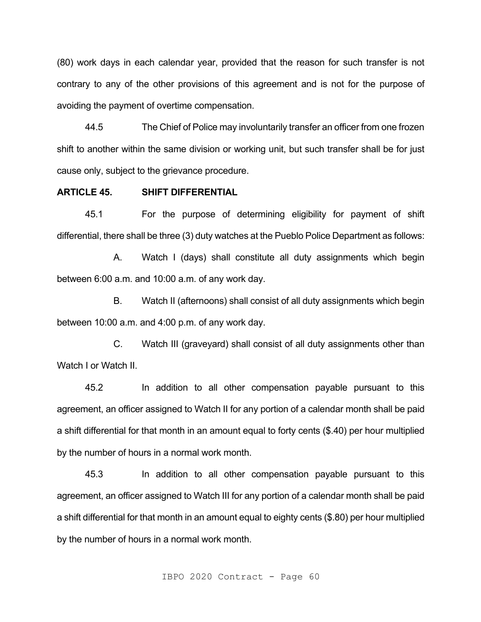(80) work days in each calendar year, provided that the reason for such transfer is not contrary to any of the other provisions of this agreement and is not for the purpose of avoiding the payment of overtime compensation.

44.5 The Chief of Police may involuntarily transfer an officer from one frozen shift to another within the same division or working unit, but such transfer shall be for just cause only, subject to the grievance procedure.

# **ARTICLE 45. SHIFT DIFFERENTIAL**

45.1 For the purpose of determining eligibility for payment of shift differential, there shall be three (3) duty watches at the Pueblo Police Department as follows:

A. Watch I (days) shall constitute all duty assignments which begin between 6:00 a.m. and 10:00 a.m. of any work day.

B. Watch II (afternoons) shall consist of all duty assignments which begin between 10:00 a.m. and 4:00 p.m. of any work day.

C. Watch III (graveyard) shall consist of all duty assignments other than Watch I or Watch II.

45.2 In addition to all other compensation payable pursuant to this agreement, an officer assigned to Watch II for any portion of a calendar month shall be paid a shift differential for that month in an amount equal to forty cents (\$.40) per hour multiplied by the number of hours in a normal work month.

45.3 In addition to all other compensation payable pursuant to this agreement, an officer assigned to Watch III for any portion of a calendar month shall be paid a shift differential for that month in an amount equal to eighty cents (\$.80) per hour multiplied by the number of hours in a normal work month.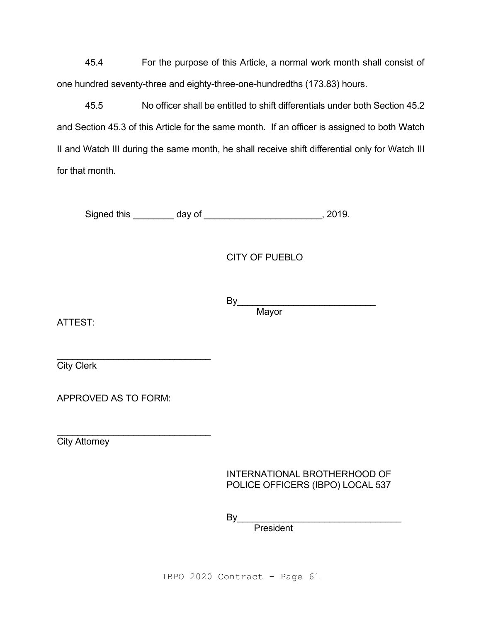45.4 For the purpose of this Article, a normal work month shall consist of one hundred seventy-three and eighty-three-one-hundredths (173.83) hours.

45.5 No officer shall be entitled to shift differentials under both Section 45.2 and Section 45.3 of this Article for the same month. If an officer is assigned to both Watch II and Watch III during the same month, he shall receive shift differential only for Watch III for that month.

Signed this \_\_\_\_\_\_\_\_ day of \_\_\_\_\_\_\_\_\_\_\_\_\_\_\_\_\_\_\_\_\_\_\_\_, 2019.

CITY OF PUEBLO

By\_\_\_\_\_\_\_\_\_\_\_\_\_\_\_\_\_\_\_\_\_\_\_\_\_\_\_ Mayor

ATTEST:

 $\overline{\phantom{a}}$  , which is a set of the set of the set of the set of the set of the set of the set of the set of the set of the set of the set of the set of the set of the set of the set of the set of the set of the set of th City Clerk

APPROVED AS TO FORM:

 $\mathcal{L}_\text{max}$  , which is a set of the set of the set of the set of the set of the set of the set of the set of the set of the set of the set of the set of the set of the set of the set of the set of the set of the set of

**City Attorney** 

INTERNATIONAL BROTHERHOOD OF POLICE OFFICERS (IBPO) LOCAL 537

By\_\_\_\_\_\_\_\_\_\_\_\_\_\_\_\_\_\_\_\_\_\_\_\_\_\_\_\_\_\_\_\_

President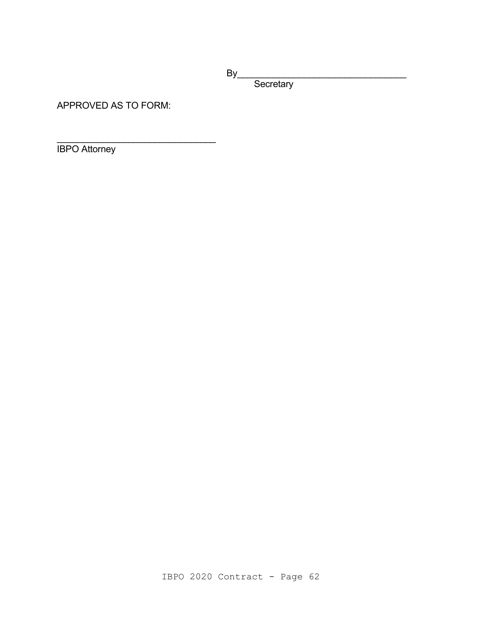By\_\_\_\_\_\_\_\_\_\_\_\_\_\_\_\_\_\_\_\_\_\_\_\_\_\_\_\_\_\_\_\_\_

**Secretary** 

APPROVED AS TO FORM:

\_\_\_\_\_\_\_\_\_\_\_\_\_\_\_\_\_\_\_\_\_\_\_\_\_\_\_\_\_\_\_

IBPO Attorney